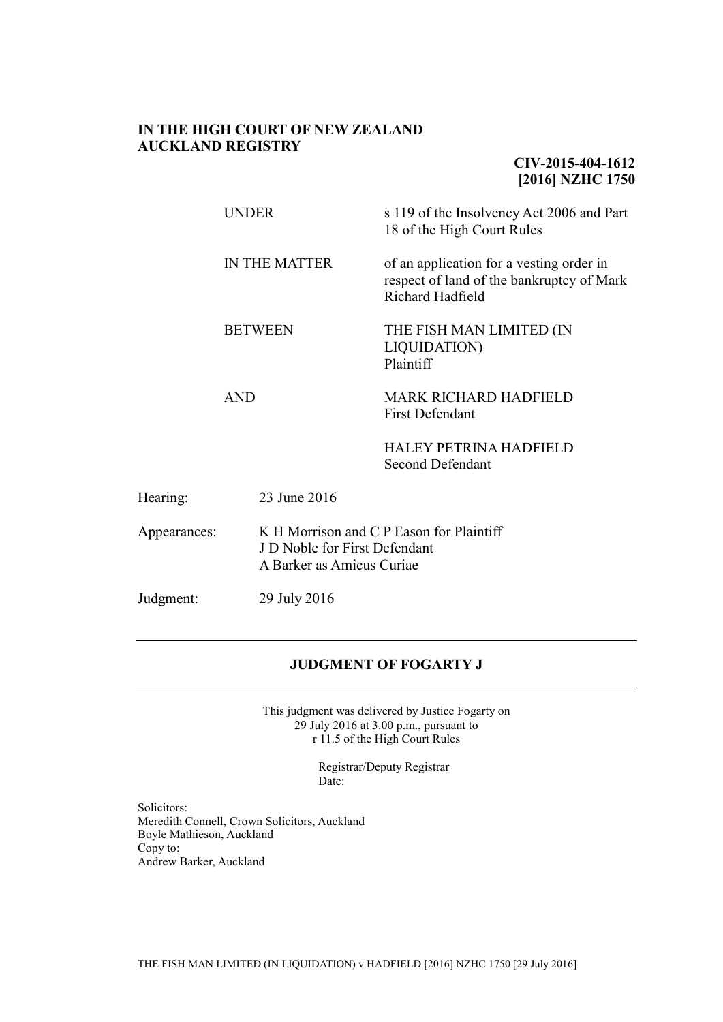# **IN THE HIGH COURT OF NEW ZEALAND AUCKLAND REGISTRY**

**CIV-2015-404-1612 [2016] NZHC 1750**

|              | <b>UNDER</b>   |                                                                                                        | s 119 of the Insolvency Act 2006 and Part<br>18 of the High Court Rules                                   |  |
|--------------|----------------|--------------------------------------------------------------------------------------------------------|-----------------------------------------------------------------------------------------------------------|--|
|              |                | <b>IN THE MATTER</b>                                                                                   | of an application for a vesting order in<br>respect of land of the bankruptcy of Mark<br>Richard Hadfield |  |
|              | <b>BETWEEN</b> |                                                                                                        | THE FISH MAN LIMITED (IN<br><b>LIQUIDATION</b> )<br>Plaintiff                                             |  |
|              | <b>AND</b>     |                                                                                                        | <b>MARK RICHARD HADFIELD</b><br><b>First Defendant</b>                                                    |  |
|              |                |                                                                                                        | <b>HALEY PETRINA HADFIELD</b><br><b>Second Defendant</b>                                                  |  |
| Hearing:     |                | 23 June 2016                                                                                           |                                                                                                           |  |
| Appearances: |                | K H Morrison and C P Eason for Plaintiff<br>J D Noble for First Defendant<br>A Barker as Amicus Curiae |                                                                                                           |  |
| Judgment:    |                | 29 July 2016                                                                                           |                                                                                                           |  |

# **JUDGMENT OF FOGARTY J**

This judgment was delivered by Justice Fogarty on 29 July 2016 at 3.00 p.m., pursuant to r 11.5 of the High Court Rules

> Registrar/Deputy Registrar Date:

Solicitors: Meredith Connell, Crown Solicitors, Auckland Boyle Mathieson, Auckland Copy to: Andrew Barker, Auckland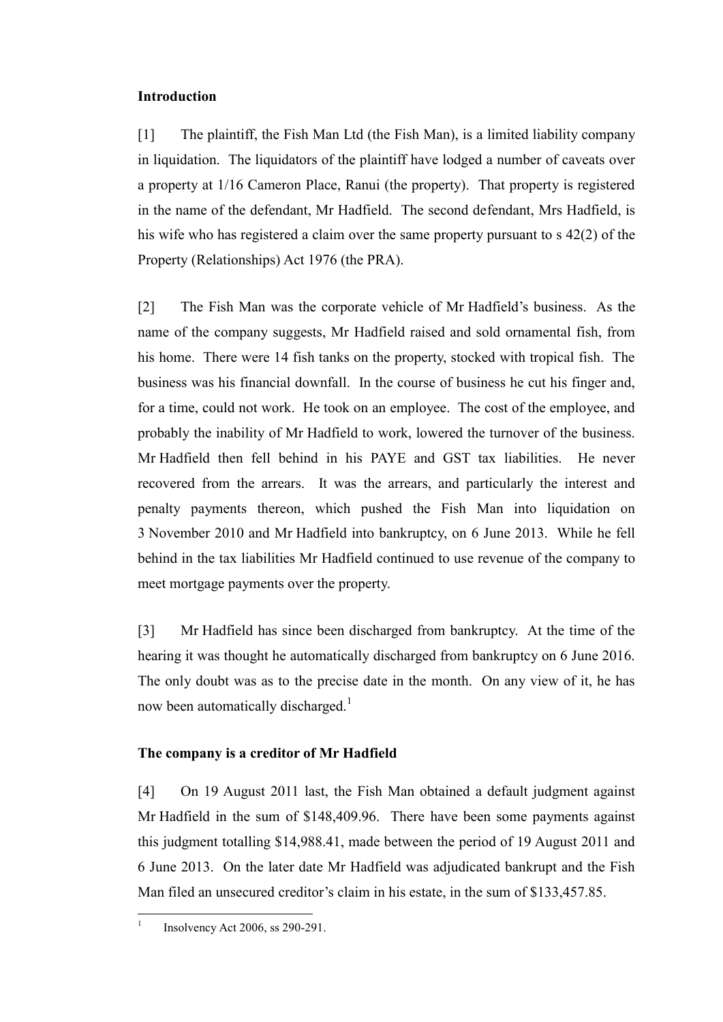# **Introduction**

[1] The plaintiff, the Fish Man Ltd (the Fish Man), is a limited liability company in liquidation. The liquidators of the plaintiff have lodged a number of caveats over a property at 1/16 Cameron Place, Ranui (the property). That property is registered in the name of the defendant, Mr Hadfield. The second defendant, Mrs Hadfield, is his wife who has registered a claim over the same property pursuant to s 42(2) of the Property (Relationships) Act 1976 (the PRA).

[2] The Fish Man was the corporate vehicle of Mr Hadfield's business. As the name of the company suggests, Mr Hadfield raised and sold ornamental fish, from his home. There were 14 fish tanks on the property, stocked with tropical fish. The business was his financial downfall. In the course of business he cut his finger and, for a time, could not work. He took on an employee. The cost of the employee, and probably the inability of Mr Hadfield to work, lowered the turnover of the business. Mr Hadfield then fell behind in his PAYE and GST tax liabilities. He never recovered from the arrears. It was the arrears, and particularly the interest and penalty payments thereon, which pushed the Fish Man into liquidation on 3 November 2010 and Mr Hadfield into bankruptcy, on 6 June 2013. While he fell behind in the tax liabilities Mr Hadfield continued to use revenue of the company to meet mortgage payments over the property.

[3] Mr Hadfield has since been discharged from bankruptcy. At the time of the hearing it was thought he automatically discharged from bankruptcy on 6 June 2016. The only doubt was as to the precise date in the month. On any view of it, he has now been automatically discharged.<sup>1</sup>

# **The company is a creditor of Mr Hadfield**

[4] On 19 August 2011 last, the Fish Man obtained a default judgment against Mr Hadfield in the sum of \$148,409.96. There have been some payments against this judgment totalling \$14,988.41, made between the period of 19 August 2011 and 6 June 2013. On the later date Mr Hadfield was adjudicated bankrupt and the Fish Man filed an unsecured creditor's claim in his estate, in the sum of \$133,457.85.

 $\frac{1}{1}$ Insolvency Act 2006, ss 290-291.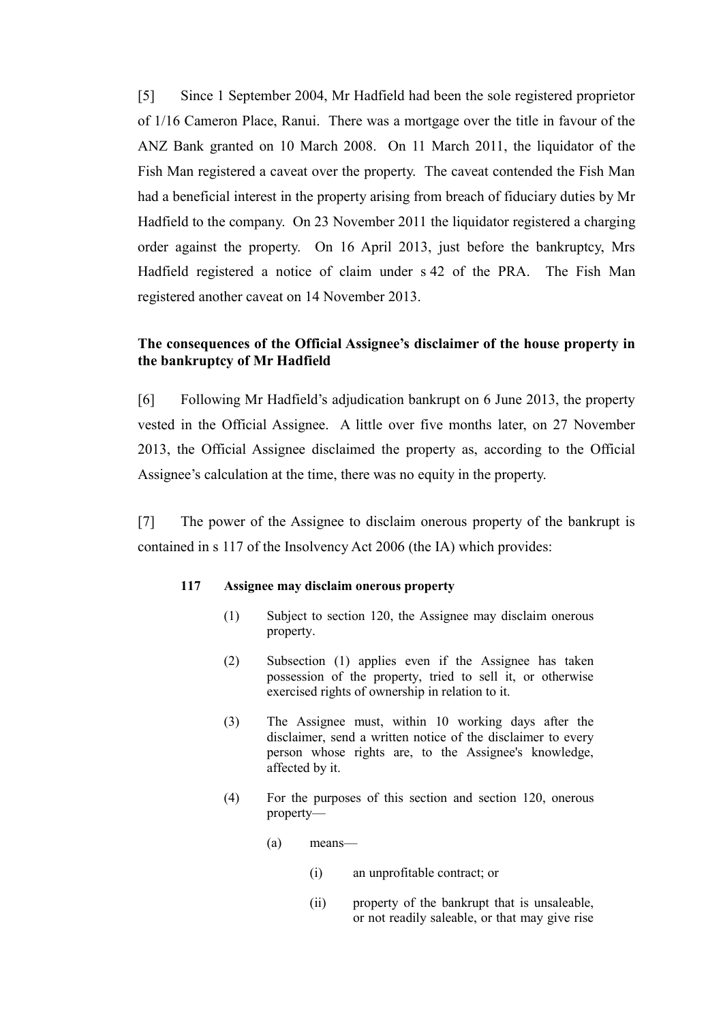[5] Since 1 September 2004, Mr Hadfield had been the sole registered proprietor of 1/16 Cameron Place, Ranui. There was a mortgage over the title in favour of the ANZ Bank granted on 10 March 2008. On 11 March 2011, the liquidator of the Fish Man registered a caveat over the property. The caveat contended the Fish Man had a beneficial interest in the property arising from breach of fiduciary duties by Mr Hadfield to the company. On 23 November 2011 the liquidator registered a charging order against the property. On 16 April 2013, just before the bankruptcy, Mrs Hadfield registered a notice of claim under s 42 of the PRA. The Fish Man registered another caveat on 14 November 2013.

# **The consequences of the Official Assignee's disclaimer of the house property in the bankruptcy of Mr Hadfield**

[6] Following Mr Hadfield's adjudication bankrupt on 6 June 2013, the property vested in the Official Assignee. A little over five months later, on 27 November 2013, the Official Assignee disclaimed the property as, according to the Official Assignee's calculation at the time, there was no equity in the property.

[7] The power of the Assignee to disclaim onerous property of the bankrupt is contained in s 117 of the Insolvency Act 2006 (the IA) which provides:

#### **117 Assignee may disclaim onerous property**

- (1) Subject to section 120, the Assignee may disclaim onerous property.
- (2) Subsection (1) applies even if the Assignee has taken possession of the property, tried to sell it, or otherwise exercised rights of ownership in relation to it.
- (3) The Assignee must, within 10 working days after the disclaimer, send a written notice of the disclaimer to every person whose rights are, to the Assignee's knowledge, affected by it.
- (4) For the purposes of this section and section 120, onerous property—
	- (a) means—
		- (i) an unprofitable contract; or
		- (ii) property of the bankrupt that is unsaleable, or not readily saleable, or that may give rise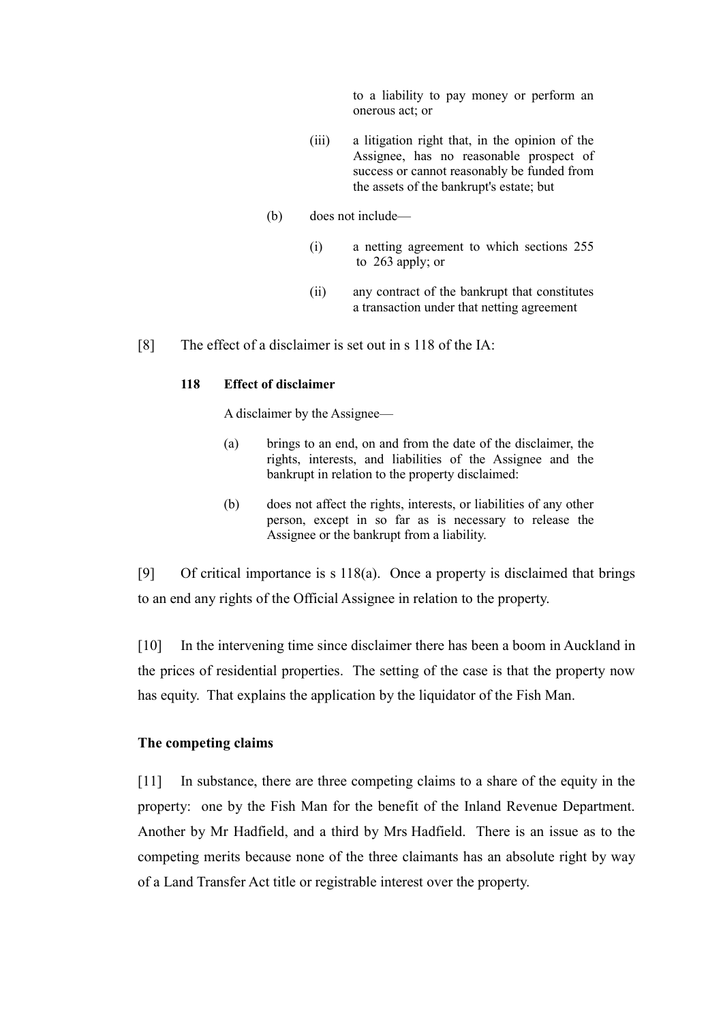to a liability to pay money or perform an onerous act; or

- (iii) a litigation right that, in the opinion of the Assignee, has no reasonable prospect of success or cannot reasonably be funded from the assets of the bankrupt's estate; but
- (b) does not include—
	- (i) a netting agreement to which sections 255 to 263 apply; or
	- (ii) any contract of the bankrupt that constitutes a transaction under that netting agreement
- [8] The effect of a disclaimer is set out in s 118 of the IA:

#### **118 Effect of disclaimer**

A disclaimer by the Assignee—

- (a) brings to an end, on and from the date of the disclaimer, the rights, interests, and liabilities of the Assignee and the bankrupt in relation to the property disclaimed:
- (b) does not affect the rights, interests, or liabilities of any other person, except in so far as is necessary to release the Assignee or the bankrupt from a liability.

[9] Of critical importance is s 118(a). Once a property is disclaimed that brings to an end any rights of the Official Assignee in relation to the property.

[10] In the intervening time since disclaimer there has been a boom in Auckland in the prices of residential properties. The setting of the case is that the property now has equity. That explains the application by the liquidator of the Fish Man.

# **The competing claims**

[11] In substance, there are three competing claims to a share of the equity in the property: one by the Fish Man for the benefit of the Inland Revenue Department. Another by Mr Hadfield, and a third by Mrs Hadfield. There is an issue as to the competing merits because none of the three claimants has an absolute right by way of a Land Transfer Act title or registrable interest over the property.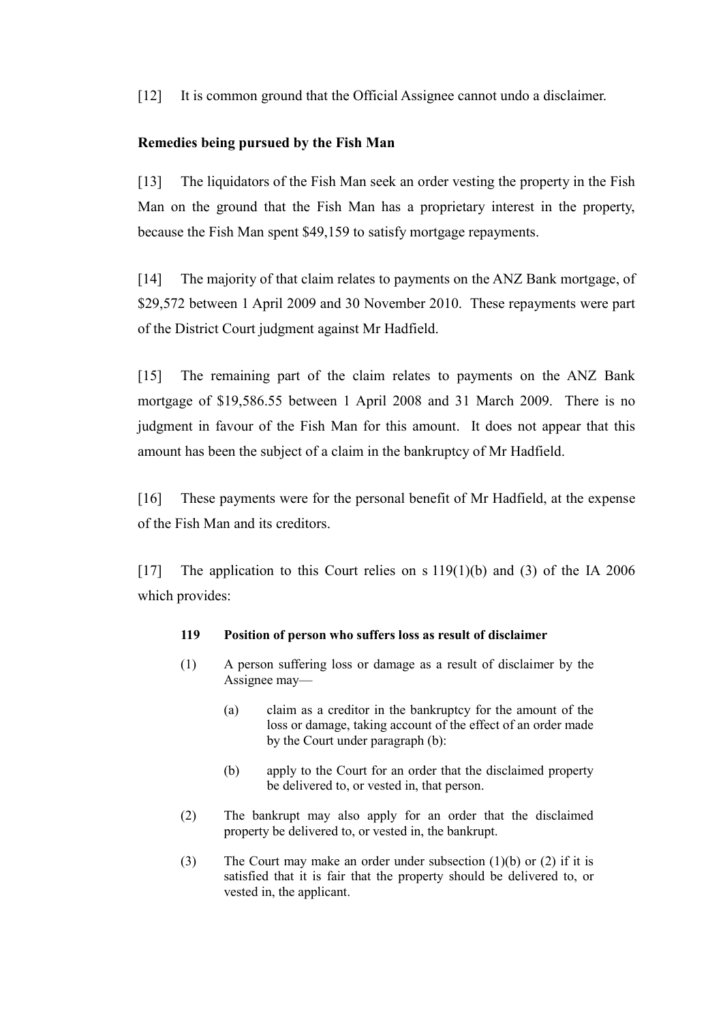[12] It is common ground that the Official Assignee cannot undo a disclaimer.

# **Remedies being pursued by the Fish Man**

[13] The liquidators of the Fish Man seek an order vesting the property in the Fish Man on the ground that the Fish Man has a proprietary interest in the property, because the Fish Man spent \$49,159 to satisfy mortgage repayments.

[14] The majority of that claim relates to payments on the ANZ Bank mortgage, of \$29,572 between 1 April 2009 and 30 November 2010. These repayments were part of the District Court judgment against Mr Hadfield.

[15] The remaining part of the claim relates to payments on the ANZ Bank mortgage of \$19,586.55 between 1 April 2008 and 31 March 2009. There is no judgment in favour of the Fish Man for this amount. It does not appear that this amount has been the subject of a claim in the bankruptcy of Mr Hadfield.

[16] These payments were for the personal benefit of Mr Hadfield, at the expense of the Fish Man and its creditors.

[17] The application to this Court relies on s 119(1)(b) and (3) of the IA 2006 which provides:

# **119 Position of person who suffers loss as result of disclaimer**

- (1) A person suffering loss or damage as a result of disclaimer by the Assignee may—
	- (a) claim as a creditor in the bankruptcy for the amount of the loss or damage, taking account of the effect of an order made by the Court under paragraph (b):
	- (b) apply to the Court for an order that the disclaimed property be delivered to, or vested in, that person.
- (2) The bankrupt may also apply for an order that the disclaimed property be delivered to, or vested in, the bankrupt.
- (3) The Court may make an order under subsection  $(1)(b)$  or  $(2)$  if it is satisfied that it is fair that the property should be delivered to, or vested in, the applicant.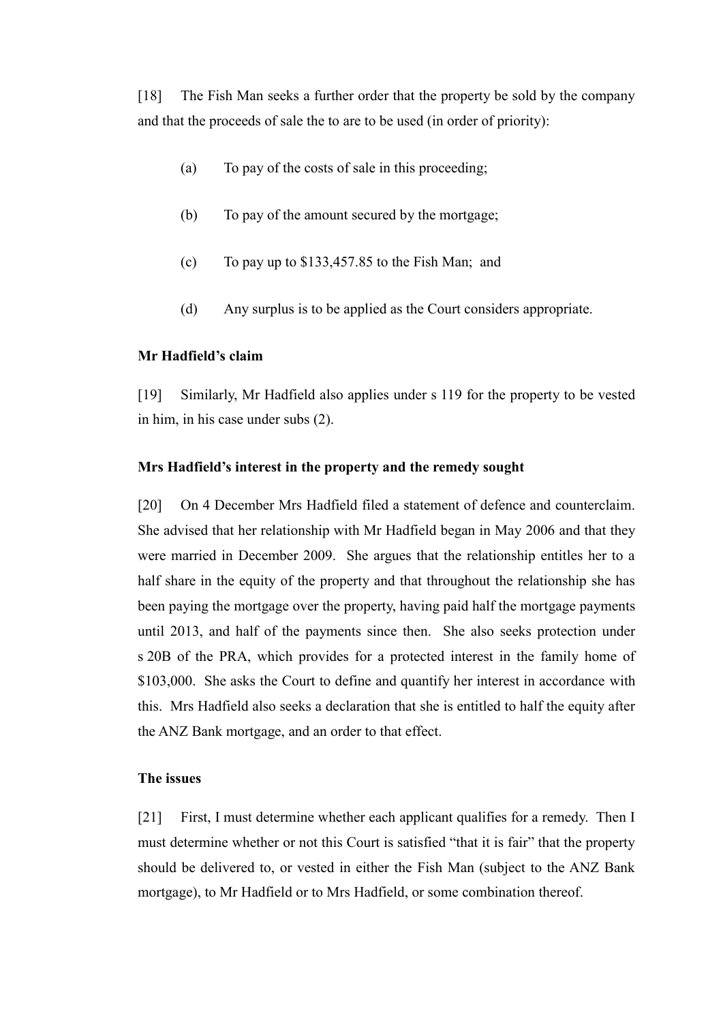[18] The Fish Man seeks a further order that the property be sold by the company and that the proceeds of sale the to are to be used (in order of priority):

- (a) To pay of the costs of sale in this proceeding;
- (b) To pay of the amount secured by the mortgage;
- (c) To pay up to \$133,457.85 to the Fish Man; and
- (d) Any surplus is to be applied as the Court considers appropriate.

# **Mr Hadfield's claim**

[19] Similarly, Mr Hadfield also applies under s 119 for the property to be vested in him, in his case under subs (2).

#### **Mrs Hadfield's interest in the property and the remedy sought**

[20] On 4 December Mrs Hadfield filed a statement of defence and counterclaim. She advised that her relationship with Mr Hadfield began in May 2006 and that they were married in December 2009. She argues that the relationship entitles her to a half share in the equity of the property and that throughout the relationship she has been paying the mortgage over the property, having paid half the mortgage payments until 2013, and half of the payments since then. She also seeks protection under s 20B of the PRA, which provides for a protected interest in the family home of \$103,000. She asks the Court to define and quantify her interest in accordance with this. Mrs Hadfield also seeks a declaration that she is entitled to half the equity after the ANZ Bank mortgage, and an order to that effect.

## **The issues**

[21] First, I must determine whether each applicant qualifies for a remedy. Then I must determine whether or not this Court is satisfied "that it is fair" that the property should be delivered to, or vested in either the Fish Man (subject to the ANZ Bank mortgage), to Mr Hadfield or to Mrs Hadfield, or some combination thereof.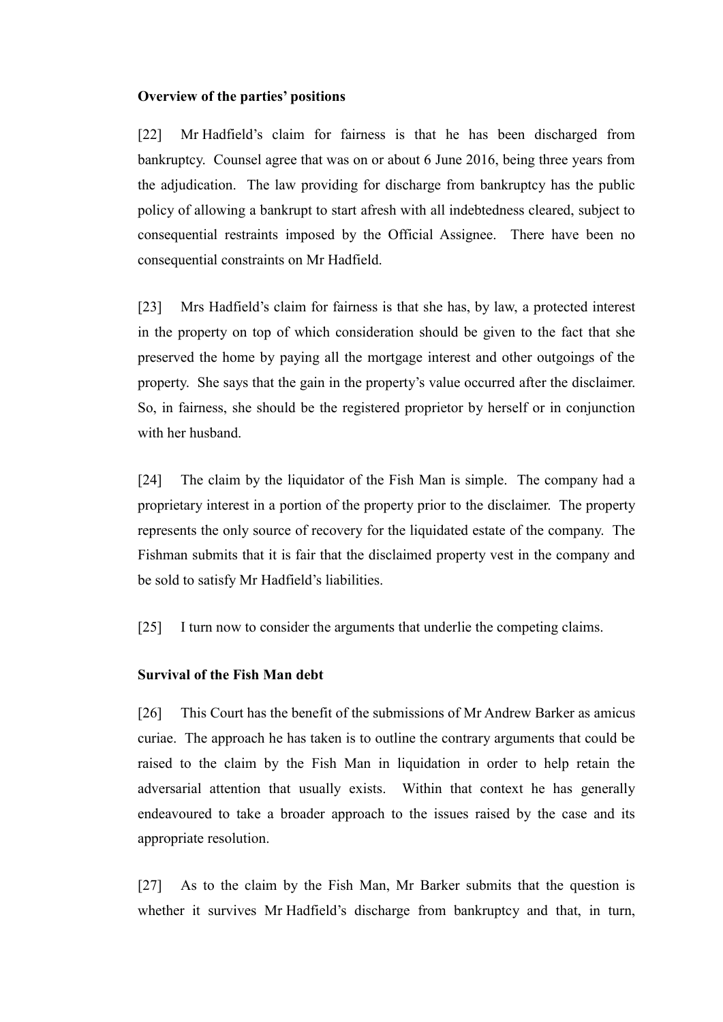## **Overview of the parties' positions**

[22] Mr Hadfield's claim for fairness is that he has been discharged from bankruptcy. Counsel agree that was on or about 6 June 2016, being three years from the adjudication. The law providing for discharge from bankruptcy has the public policy of allowing a bankrupt to start afresh with all indebtedness cleared, subject to consequential restraints imposed by the Official Assignee. There have been no consequential constraints on Mr Hadfield.

[23] Mrs Hadfield's claim for fairness is that she has, by law, a protected interest in the property on top of which consideration should be given to the fact that she preserved the home by paying all the mortgage interest and other outgoings of the property. She says that the gain in the property's value occurred after the disclaimer. So, in fairness, she should be the registered proprietor by herself or in conjunction with her husband.

[24] The claim by the liquidator of the Fish Man is simple. The company had a proprietary interest in a portion of the property prior to the disclaimer. The property represents the only source of recovery for the liquidated estate of the company. The Fishman submits that it is fair that the disclaimed property vest in the company and be sold to satisfy Mr Hadfield's liabilities.

[25] I turn now to consider the arguments that underlie the competing claims.

# **Survival of the Fish Man debt**

[26] This Court has the benefit of the submissions of Mr Andrew Barker as amicus curiae. The approach he has taken is to outline the contrary arguments that could be raised to the claim by the Fish Man in liquidation in order to help retain the adversarial attention that usually exists. Within that context he has generally endeavoured to take a broader approach to the issues raised by the case and its appropriate resolution.

[27] As to the claim by the Fish Man, Mr Barker submits that the question is whether it survives Mr Hadfield's discharge from bankruptcy and that, in turn,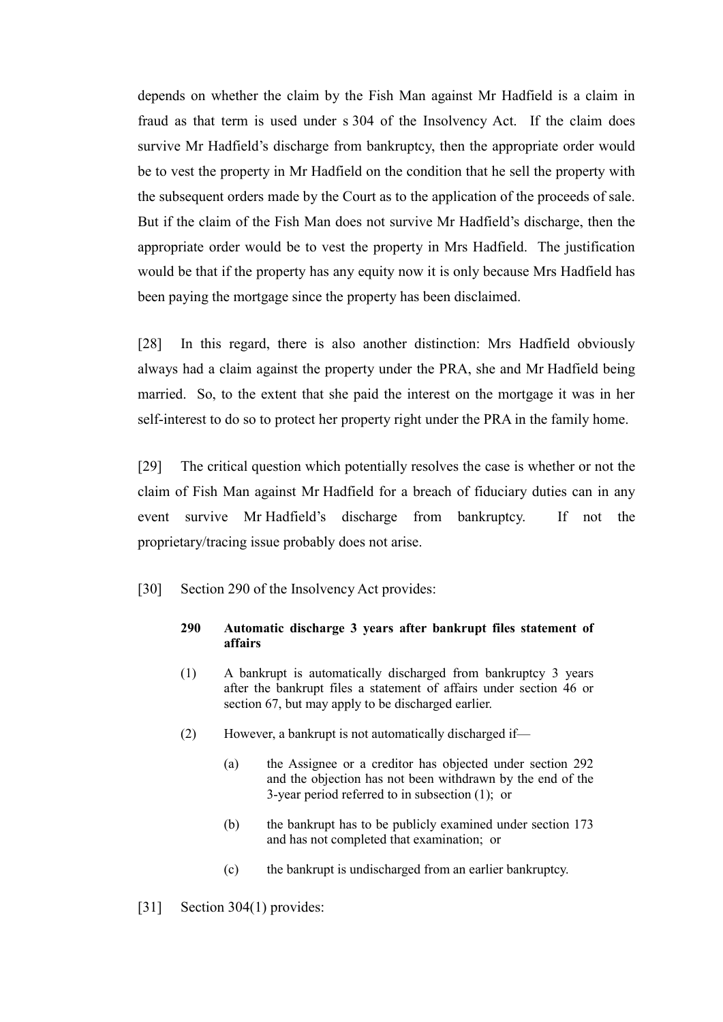depends on whether the claim by the Fish Man against Mr Hadfield is a claim in fraud as that term is used under s 304 of the Insolvency Act. If the claim does survive Mr Hadfield's discharge from bankruptcy, then the appropriate order would be to vest the property in Mr Hadfield on the condition that he sell the property with the subsequent orders made by the Court as to the application of the proceeds of sale. But if the claim of the Fish Man does not survive Mr Hadfield's discharge, then the appropriate order would be to vest the property in Mrs Hadfield. The justification would be that if the property has any equity now it is only because Mrs Hadfield has been paying the mortgage since the property has been disclaimed.

[28] In this regard, there is also another distinction: Mrs Hadfield obviously always had a claim against the property under the PRA, she and Mr Hadfield being married. So, to the extent that she paid the interest on the mortgage it was in her self-interest to do so to protect her property right under the PRA in the family home.

[29] The critical question which potentially resolves the case is whether or not the claim of Fish Man against Mr Hadfield for a breach of fiduciary duties can in any event survive Mr Hadfield's discharge from bankruptcy. If not the proprietary/tracing issue probably does not arise.

[30] Section 290 of the Insolvency Act provides:

#### **290 Automatic discharge 3 years after bankrupt files statement of affairs**

- (1) A bankrupt is automatically discharged from bankruptcy 3 years after the bankrupt files a statement of affairs under section 46 or section 67, but may apply to be discharged earlier.
- (2) However, a bankrupt is not automatically discharged if—
	- (a) the Assignee or a creditor has objected under section 292 and the objection has not been withdrawn by the end of the 3-year period referred to in subsection (1); or
	- (b) the bankrupt has to be publicly examined under section 173 and has not completed that examination; or
	- (c) the bankrupt is undischarged from an earlier bankruptcy.

#### [31] Section 304(1) provides: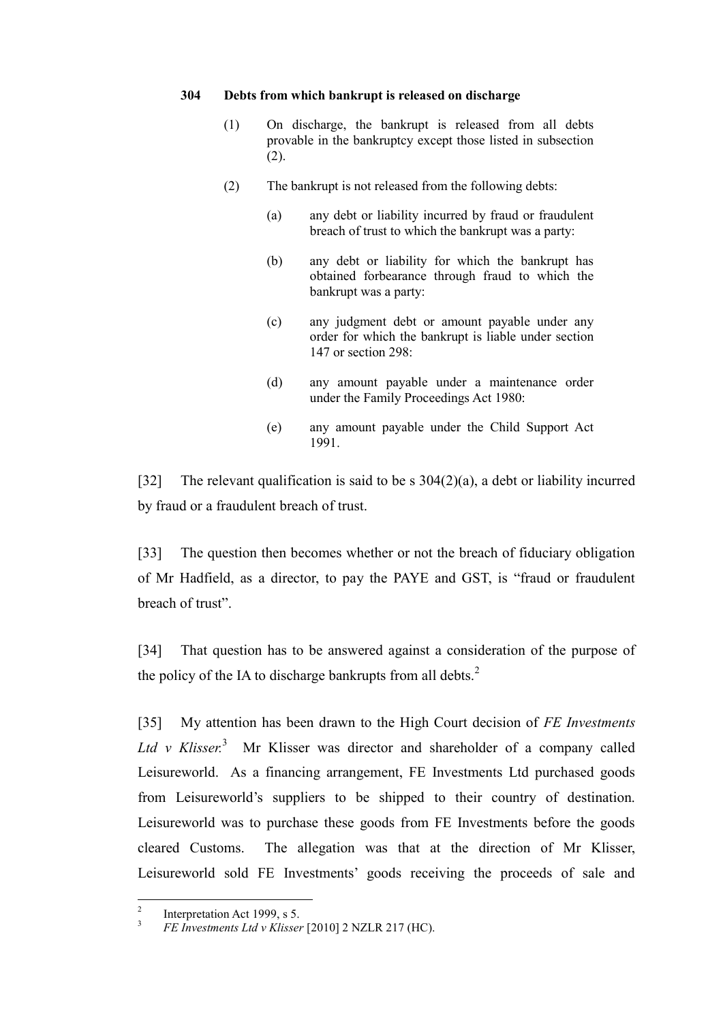#### **304 Debts from which bankrupt is released on discharge**

- (1) On discharge, the bankrupt is released from all debts provable in the bankruptcy except those listed in subsection (2).
- (2) The bankrupt is not released from the following debts:
	- (a) any debt or liability incurred by fraud or fraudulent breach of trust to which the bankrupt was a party:
	- (b) any debt or liability for which the bankrupt has obtained forbearance through fraud to which the bankrupt was a party:
	- (c) any judgment debt or amount payable under any order for which the bankrupt is liable under section 147 or section 298:
	- (d) any amount payable under a maintenance order under the Family Proceedings Act 1980:
	- (e) any amount payable under the Child Support Act 1991.

[32] The relevant qualification is said to be s  $304(2)(a)$ , a debt or liability incurred by fraud or a fraudulent breach of trust.

[33] The question then becomes whether or not the breach of fiduciary obligation of Mr Hadfield, as a director, to pay the PAYE and GST, is "fraud or fraudulent breach of trust".

[34] That question has to be answered against a consideration of the purpose of the policy of the IA to discharge bankrupts from all debts. $<sup>2</sup>$ </sup>

[35] My attention has been drawn to the High Court decision of *FE Investments*  Ltd v Klisser.<sup>3</sup> Mr Klisser was director and shareholder of a company called Leisureworld. As a financing arrangement, FE Investments Ltd purchased goods from Leisureworld's suppliers to be shipped to their country of destination. Leisureworld was to purchase these goods from FE Investments before the goods cleared Customs. The allegation was that at the direction of Mr Klisser, Leisureworld sold FE Investments' goods receiving the proceeds of sale and

 $\frac{1}{2}$ Interpretation Act 1999, s 5.

<sup>&</sup>lt;sup>3</sup> *FE Investments Ltd v Klisser* [2010] 2 NZLR 217 (HC).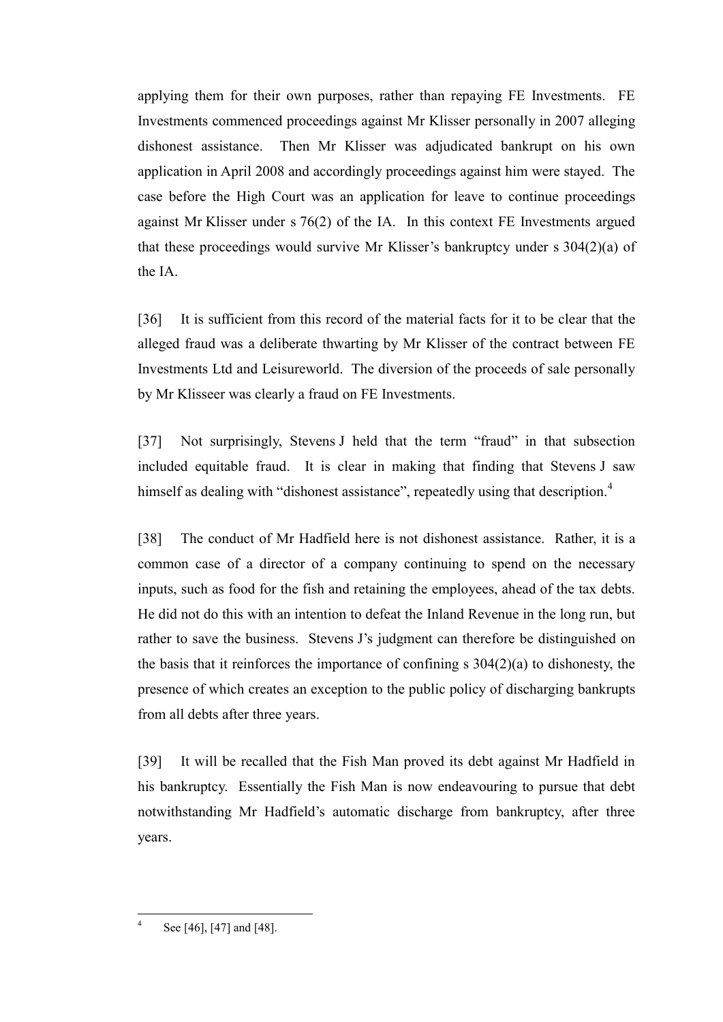applying them for their own purposes, rather than repaying FE Investments. FE Investments commenced proceedings against Mr Klisser personally in 2007 alleging dishonest assistance. Then Mr Klisser was adjudicated bankrupt on his own application in April 2008 and accordingly proceedings against him were stayed. The case before the High Court was an application for leave to continue proceedings against Mr Klisser under s 76(2) of the IA. In this context FE Investments argued that these proceedings would survive Mr Klisser's bankruptcy under s 304(2)(a) of the IA.

[36] It is sufficient from this record of the material facts for it to be clear that the alleged fraud was a deliberate thwarting by Mr Klisser of the contract between FE Investments Ltd and Leisureworld. The diversion of the proceeds of sale personally by Mr Klisseer was clearly a fraud on FE Investments.

[37] Not surprisingly, Stevens J held that the term "fraud" in that subsection included equitable fraud. It is clear in making that finding that Stevens J saw himself as dealing with "dishonest assistance", repeatedly using that description.<sup>4</sup>

[38] The conduct of Mr Hadfield here is not dishonest assistance. Rather, it is a common case of a director of a company continuing to spend on the necessary inputs, such as food for the fish and retaining the employees, ahead of the tax debts. He did not do this with an intention to defeat the Inland Revenue in the long run, but rather to save the business. Stevens J's judgment can therefore be distinguished on the basis that it reinforces the importance of confining s 304(2)(a) to dishonesty, the presence of which creates an exception to the public policy of discharging bankrupts from all debts after three years.

[39] It will be recalled that the Fish Man proved its debt against Mr Hadfield in his bankruptcy. Essentially the Fish Man is now endeavouring to pursue that debt notwithstanding Mr Hadfield's automatic discharge from bankruptcy, after three years.

 $\overline{a}$ 4

See [46], [47] and [48].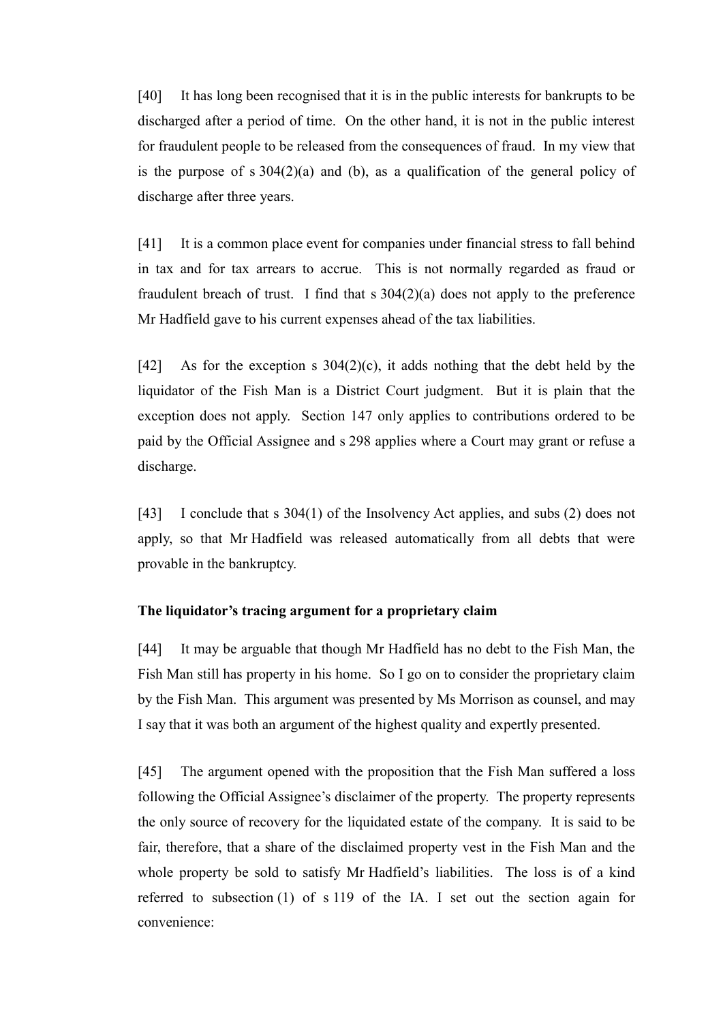[40] It has long been recognised that it is in the public interests for bankrupts to be discharged after a period of time. On the other hand, it is not in the public interest for fraudulent people to be released from the consequences of fraud. In my view that is the purpose of s  $304(2)(a)$  and (b), as a qualification of the general policy of discharge after three years.

[41] It is a common place event for companies under financial stress to fall behind in tax and for tax arrears to accrue. This is not normally regarded as fraud or fraudulent breach of trust. I find that s 304(2)(a) does not apply to the preference Mr Hadfield gave to his current expenses ahead of the tax liabilities.

[42] As for the exception s  $304(2)(c)$ , it adds nothing that the debt held by the liquidator of the Fish Man is a District Court judgment. But it is plain that the exception does not apply. Section 147 only applies to contributions ordered to be paid by the Official Assignee and s 298 applies where a Court may grant or refuse a discharge.

[43] I conclude that s 304(1) of the Insolvency Act applies, and subs (2) does not apply, so that Mr Hadfield was released automatically from all debts that were provable in the bankruptcy.

### **The liquidator's tracing argument for a proprietary claim**

[44] It may be arguable that though Mr Hadfield has no debt to the Fish Man, the Fish Man still has property in his home. So I go on to consider the proprietary claim by the Fish Man. This argument was presented by Ms Morrison as counsel, and may I say that it was both an argument of the highest quality and expertly presented.

[45] The argument opened with the proposition that the Fish Man suffered a loss following the Official Assignee's disclaimer of the property. The property represents the only source of recovery for the liquidated estate of the company. It is said to be fair, therefore, that a share of the disclaimed property vest in the Fish Man and the whole property be sold to satisfy Mr Hadfield's liabilities. The loss is of a kind referred to subsection (1) of s 119 of the IA. I set out the section again for convenience: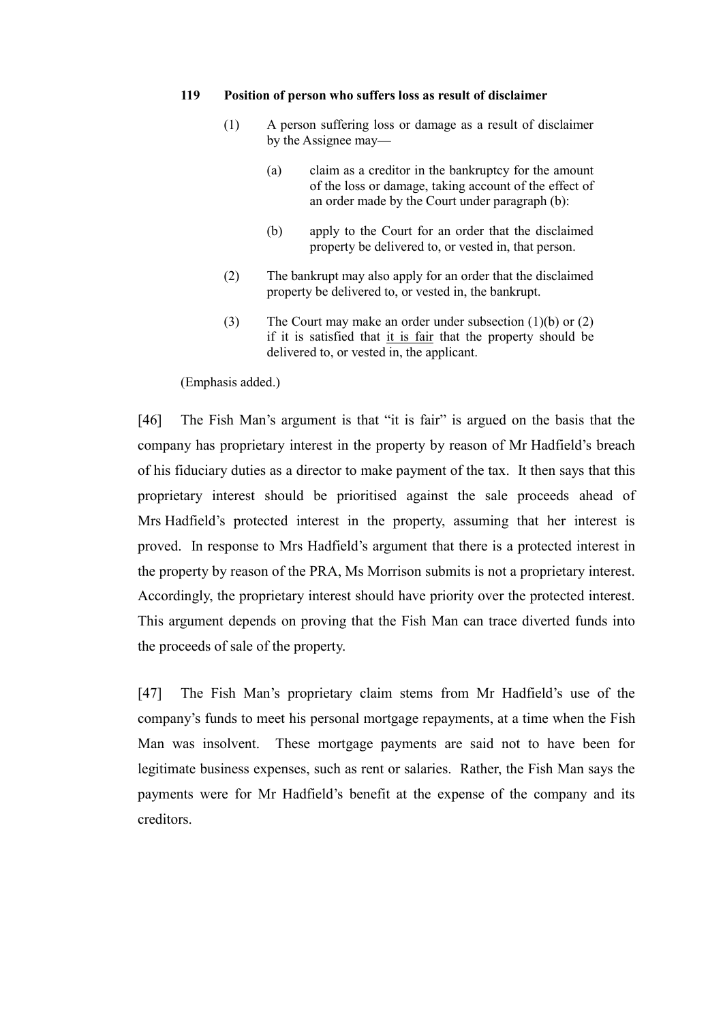#### **119 Position of person who suffers loss as result of disclaimer**

- (1) A person suffering loss or damage as a result of disclaimer by the Assignee may—
	- (a) claim as a creditor in the bankruptcy for the amount of the loss or damage, taking account of the effect of an order made by the Court under paragraph (b):
	- (b) apply to the Court for an order that the disclaimed property be delivered to, or vested in, that person.
- (2) The bankrupt may also apply for an order that the disclaimed property be delivered to, or vested in, the bankrupt.
- (3) The Court may make an order under subsection (1)(b) or (2) if it is satisfied that it is fair that the property should be delivered to, or vested in, the applicant.

### (Emphasis added.)

[46] The Fish Man's argument is that "it is fair" is argued on the basis that the company has proprietary interest in the property by reason of Mr Hadfield's breach of his fiduciary duties as a director to make payment of the tax. It then says that this proprietary interest should be prioritised against the sale proceeds ahead of Mrs Hadfield's protected interest in the property, assuming that her interest is proved. In response to Mrs Hadfield's argument that there is a protected interest in the property by reason of the PRA, Ms Morrison submits is not a proprietary interest. Accordingly, the proprietary interest should have priority over the protected interest. This argument depends on proving that the Fish Man can trace diverted funds into the proceeds of sale of the property.

[47] The Fish Man's proprietary claim stems from Mr Hadfield's use of the company's funds to meet his personal mortgage repayments, at a time when the Fish Man was insolvent. These mortgage payments are said not to have been for legitimate business expenses, such as rent or salaries. Rather, the Fish Man says the payments were for Mr Hadfield's benefit at the expense of the company and its creditors.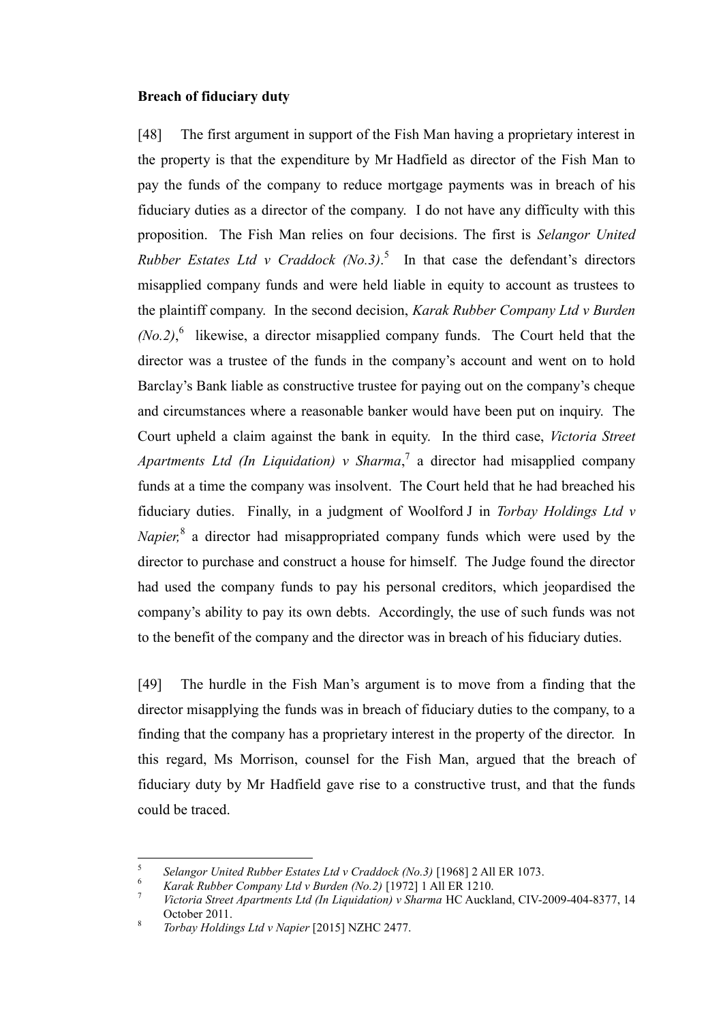### **Breach of fiduciary duty**

[48] The first argument in support of the Fish Man having a proprietary interest in the property is that the expenditure by Mr Hadfield as director of the Fish Man to pay the funds of the company to reduce mortgage payments was in breach of his fiduciary duties as a director of the company. I do not have any difficulty with this proposition. The Fish Man relies on four decisions. The first is *Selangor United Rubber Estates Ltd v Craddock (No.3)*.<sup>5</sup> In that case the defendant's directors misapplied company funds and were held liable in equity to account as trustees to the plaintiff company. In the second decision, *Karak Rubber Company Ltd v Burden*   $(No.2)$ <sup>6</sup> likewise, a director misapplied company funds. The Court held that the director was a trustee of the funds in the company's account and went on to hold Barclay's Bank liable as constructive trustee for paying out on the company's cheque and circumstances where a reasonable banker would have been put on inquiry. The Court upheld a claim against the bank in equity. In the third case, *Victoria Street Apartments Ltd (In Liquidation) v Sharma*, 7 a director had misapplied company funds at a time the company was insolvent. The Court held that he had breached his fiduciary duties. Finally, in a judgment of Woolford J in *Torbay Holdings Ltd v Napier,*<sup>8</sup> a director had misappropriated company funds which were used by the director to purchase and construct a house for himself. The Judge found the director had used the company funds to pay his personal creditors, which jeopardised the company's ability to pay its own debts. Accordingly, the use of such funds was not to the benefit of the company and the director was in breach of his fiduciary duties.

[49] The hurdle in the Fish Man's argument is to move from a finding that the director misapplying the funds was in breach of fiduciary duties to the company, to a finding that the company has a proprietary interest in the property of the director. In this regard, Ms Morrison, counsel for the Fish Man, argued that the breach of fiduciary duty by Mr Hadfield gave rise to a constructive trust, and that the funds could be traced.

 $\overline{a}$ 

<sup>5</sup> *Selangor United Rubber Estates Ltd v Craddock (No.3)* [1968] 2 All ER 1073.

<sup>6</sup> *Karak Rubber Company Ltd v Burden (No.2)* [1972] 1 All ER 1210.

<sup>7</sup> *Victoria Street Apartments Ltd (In Liquidation) v Sharma* HC Auckland, CIV-2009-404-8377, 14 October 2011.

<sup>8</sup> *Torbay Holdings Ltd v Napier* [2015] NZHC 2477.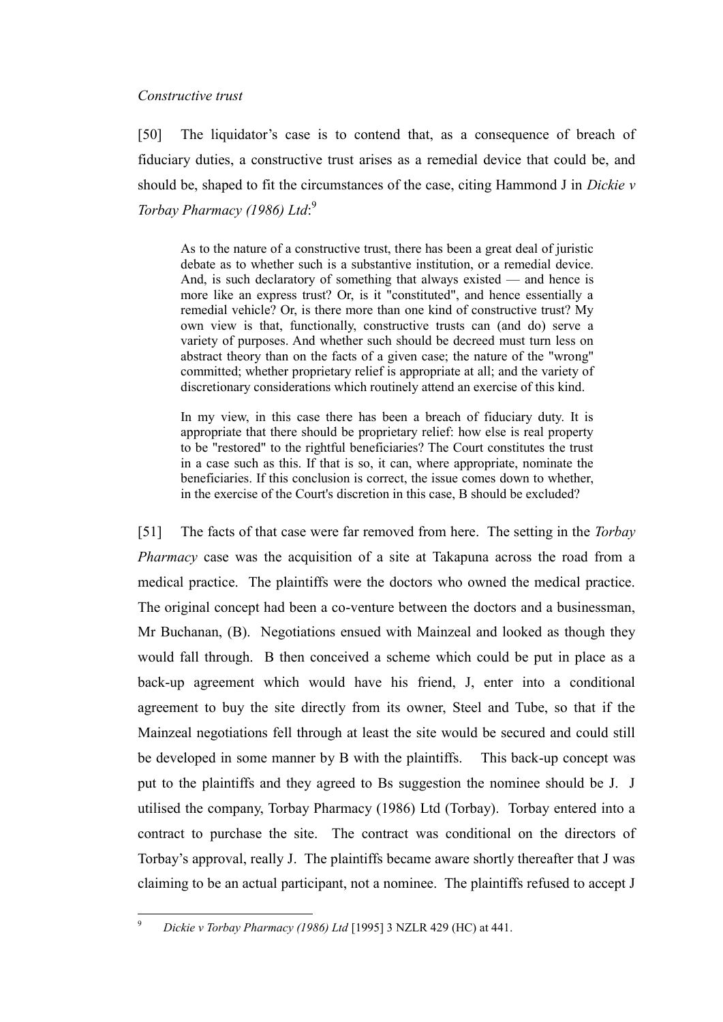#### *Constructive trust*

[50] The liquidator's case is to contend that, as a consequence of breach of fiduciary duties, a constructive trust arises as a remedial device that could be, and should be, shaped to fit the circumstances of the case, citing Hammond J in *Dickie v Torbay Pharmacy (1986) Ltd*: 9

As to the nature of a constructive trust, there has been a great deal of juristic debate as to whether such is a substantive institution, or a remedial device. And, is such declaratory of something that always existed — and hence is more like an express trust? Or, is it "constituted", and hence essentially a remedial vehicle? Or, is there more than one kind of constructive trust? My own view is that, functionally, constructive trusts can (and do) serve a variety of purposes. And whether such should be decreed must turn less on abstract theory than on the facts of a given case; the nature of the "wrong" committed; whether proprietary relief is appropriate at all; and the variety of discretionary considerations which routinely attend an exercise of this kind.

In my view, in this case there has been a breach of fiduciary duty. It is appropriate that there should be proprietary relief: how else is real property to be "restored" to the rightful beneficiaries? The Court constitutes the trust in a case such as this. If that is so, it can, where appropriate, nominate the beneficiaries. If this conclusion is correct, the issue comes down to whether, in the exercise of the Court's discretion in this case, B should be excluded?

[51] The facts of that case were far removed from here. The setting in the *Torbay Pharmacy* case was the acquisition of a site at Takapuna across the road from a medical practice. The plaintiffs were the doctors who owned the medical practice. The original concept had been a co-venture between the doctors and a businessman, Mr Buchanan, (B). Negotiations ensued with Mainzeal and looked as though they would fall through. B then conceived a scheme which could be put in place as a back-up agreement which would have his friend, J, enter into a conditional agreement to buy the site directly from its owner, Steel and Tube, so that if the Mainzeal negotiations fell through at least the site would be secured and could still be developed in some manner by B with the plaintiffs. This back-up concept was put to the plaintiffs and they agreed to Bs suggestion the nominee should be J. J utilised the company, Torbay Pharmacy (1986) Ltd (Torbay). Torbay entered into a contract to purchase the site. The contract was conditional on the directors of Torbay's approval, really J. The plaintiffs became aware shortly thereafter that J was claiming to be an actual participant, not a nominee. The plaintiffs refused to accept J

 $\overline{a}$ <sup>9</sup> *Dickie v Torbay Pharmacy (1986) Ltd* [1995] 3 NZLR 429 (HC) at 441.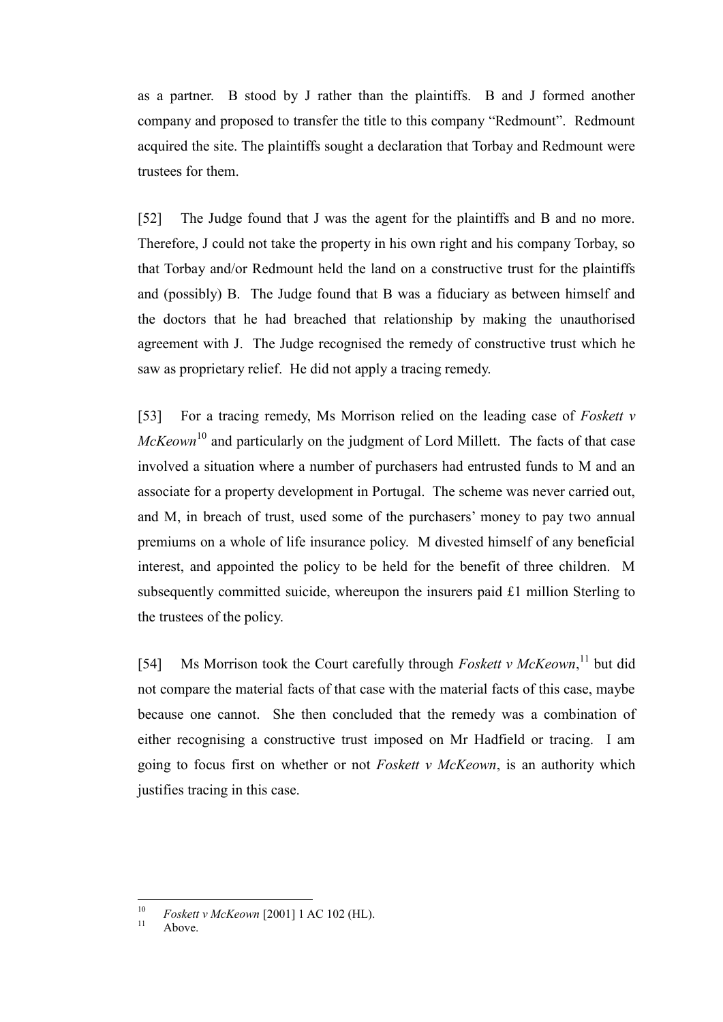as a partner. B stood by J rather than the plaintiffs. B and J formed another company and proposed to transfer the title to this company "Redmount". Redmount acquired the site. The plaintiffs sought a declaration that Torbay and Redmount were trustees for them.

[52] The Judge found that J was the agent for the plaintiffs and B and no more. Therefore, J could not take the property in his own right and his company Torbay, so that Torbay and/or Redmount held the land on a constructive trust for the plaintiffs and (possibly) B. The Judge found that B was a fiduciary as between himself and the doctors that he had breached that relationship by making the unauthorised agreement with J. The Judge recognised the remedy of constructive trust which he saw as proprietary relief. He did not apply a tracing remedy.

[53] For a tracing remedy, Ms Morrison relied on the leading case of *Foskett v McKeown*<sup>10</sup> and particularly on the judgment of Lord Millett. The facts of that case involved a situation where a number of purchasers had entrusted funds to M and an associate for a property development in Portugal. The scheme was never carried out, and M, in breach of trust, used some of the purchasers' money to pay two annual premiums on a whole of life insurance policy. M divested himself of any beneficial interest, and appointed the policy to be held for the benefit of three children. M subsequently committed suicide, whereupon the insurers paid £1 million Sterling to the trustees of the policy.

[54] Ms Morrison took the Court carefully through *Foskett v McKeown*,<sup>11</sup> but did not compare the material facts of that case with the material facts of this case, maybe because one cannot. She then concluded that the remedy was a combination of either recognising a constructive trust imposed on Mr Hadfield or tracing. I am going to focus first on whether or not *Foskett v McKeown*, is an authority which justifies tracing in this case.

 $10$ <sup>10</sup> *Foskett v McKeown* [2001] 1 AC 102 (HL).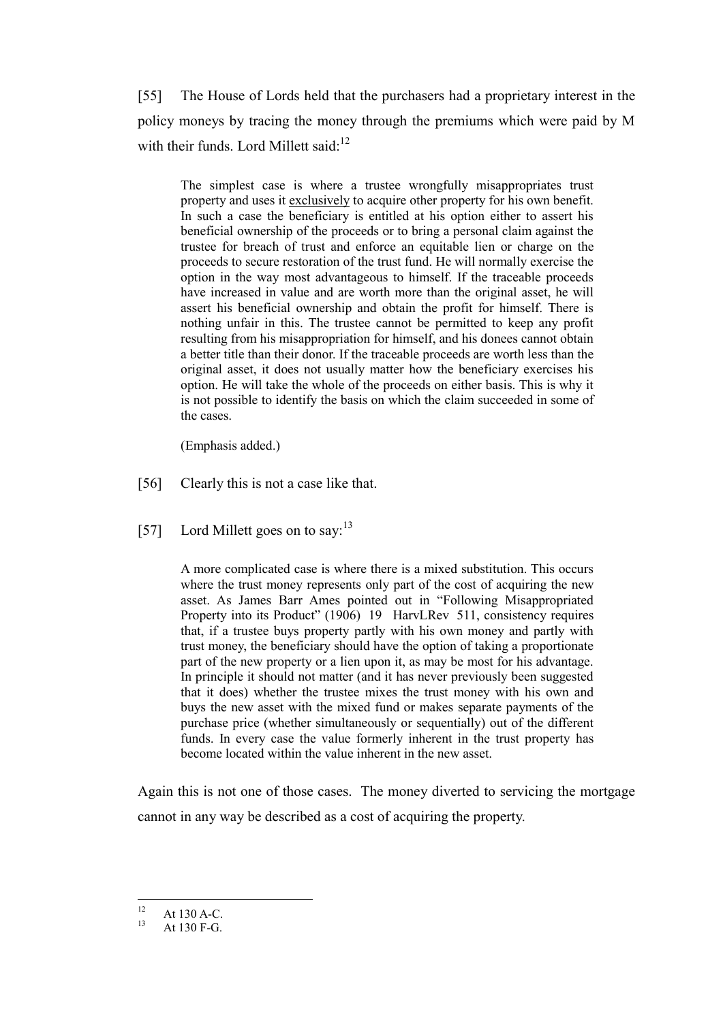[55] The House of Lords held that the purchasers had a proprietary interest in the policy moneys by tracing the money through the premiums which were paid by M with their funds. Lord Millett said:<sup>12</sup>

The simplest case is where a trustee wrongfully misappropriates trust property and uses it exclusively to acquire other property for his own benefit. In such a case the beneficiary is entitled at his option either to assert his beneficial ownership of the proceeds or to bring a personal claim against the trustee for breach of trust and enforce an equitable lien or charge on the proceeds to secure restoration of the trust fund. He will normally exercise the option in the way most advantageous to himself. If the traceable proceeds have increased in value and are worth more than the original asset, he will assert his beneficial ownership and obtain the profit for himself. There is nothing unfair in this. The trustee cannot be permitted to keep any profit resulting from his misappropriation for himself, and his donees cannot obtain a better title than their donor. If the traceable proceeds are worth less than the original asset, it does not usually matter how the beneficiary exercises his option. He will take the whole of the proceeds on either basis. This is why it is not possible to identify the basis on which the claim succeeded in some of the cases.

(Emphasis added.)

- [56] Clearly this is not a case like that.
- [57] Lord Millett goes on to say:  $13$

A more complicated case is where there is a mixed substitution. This occurs where the trust money represents only part of the cost of acquiring the new asset. As James Barr Ames pointed out in "Following Misappropriated Property into its Product" (1906) 19 HarvLRev 511, consistency requires that, if a trustee buys property partly with his own money and partly with trust money, the beneficiary should have the option of taking a proportionate part of the new property or a lien upon it, as may be most for his advantage. In principle it should not matter (and it has never previously been suggested that it does) whether the trustee mixes the trust money with his own and buys the new asset with the mixed fund or makes separate payments of the purchase price (whether simultaneously or sequentially) out of the different funds. In every case the value formerly inherent in the trust property has become located within the value inherent in the new asset.

Again this is not one of those cases. The money diverted to servicing the mortgage cannot in any way be described as a cost of acquiring the property.

 $12$  $12$  At 130 A-C.

At  $130$  F-G.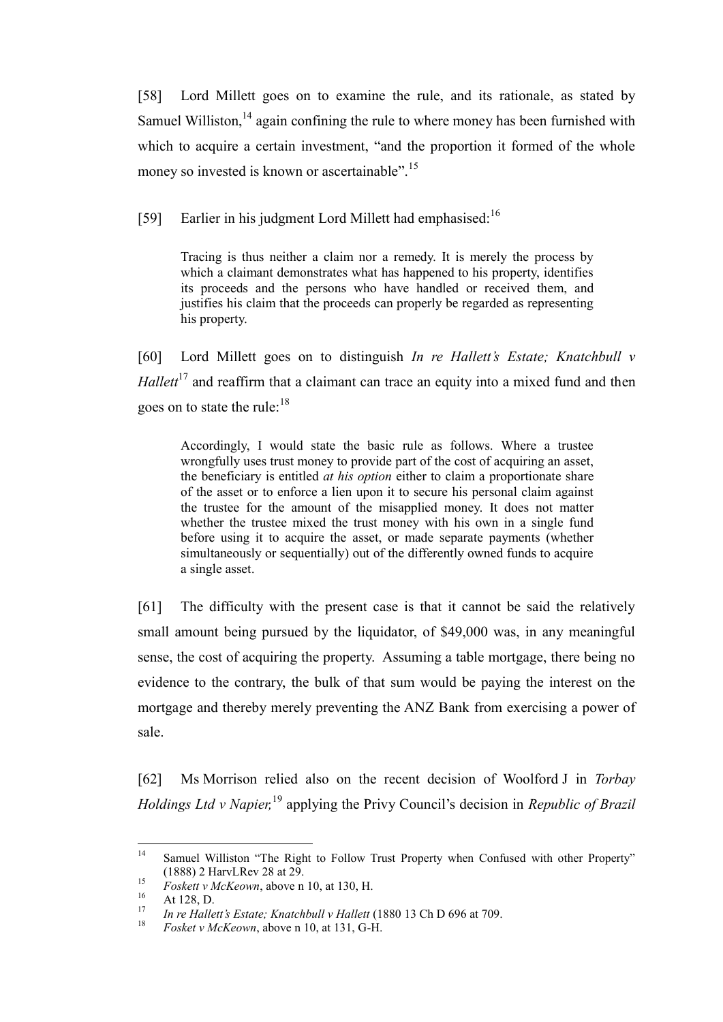[58] Lord Millett goes on to examine the rule, and its rationale, as stated by Samuel Williston, $14$  again confining the rule to where money has been furnished with which to acquire a certain investment, "and the proportion it formed of the whole money so invested is known or ascertainable".<sup>15</sup>

[59] Earlier in his judgment Lord Millett had emphasised:<sup>16</sup>

Tracing is thus neither a claim nor a remedy. It is merely the process by which a claimant demonstrates what has happened to his property, identifies its proceeds and the persons who have handled or received them, and justifies his claim that the proceeds can properly be regarded as representing his property.

[60] Lord Millett goes on to distinguish *In re Hallett's Estate; Knatchbull v Hallett*<sup>17</sup> and reaffirm that a claimant can trace an equity into a mixed fund and then goes on to state the rule: $18$ 

Accordingly, I would state the basic rule as follows. Where a trustee wrongfully uses trust money to provide part of the cost of acquiring an asset, the beneficiary is entitled *at his option* either to claim a proportionate share of the asset or to enforce a lien upon it to secure his personal claim against the trustee for the amount of the misapplied money. It does not matter whether the trustee mixed the trust money with his own in a single fund before using it to acquire the asset, or made separate payments (whether simultaneously or sequentially) out of the differently owned funds to acquire a single asset.

[61] The difficulty with the present case is that it cannot be said the relatively small amount being pursued by the liquidator, of \$49,000 was, in any meaningful sense, the cost of acquiring the property. Assuming a table mortgage, there being no evidence to the contrary, the bulk of that sum would be paying the interest on the mortgage and thereby merely preventing the ANZ Bank from exercising a power of sale.

[62] Ms Morrison relied also on the recent decision of Woolford J in *Torbay Holdings Ltd v Napier,*<sup>19</sup> applying the Privy Council's decision in *Republic of Brazil* 

 $14$ Samuel Williston "The Right to Follow Trust Property when Confused with other Property" (1888) 2 HarvLRev 28 at 29.

<sup>15</sup> *Foskett v McKeown*, above n 10, at 130, H.

 $16$  At 128, D.

<sup>&</sup>lt;sup>17</sup> *In re Hallett's Estate; Knatchbull v Hallett* (1880 13 Ch D 696 at 709.

<sup>18</sup> *Fosket v McKeown*, above n 10, at 131, G-H.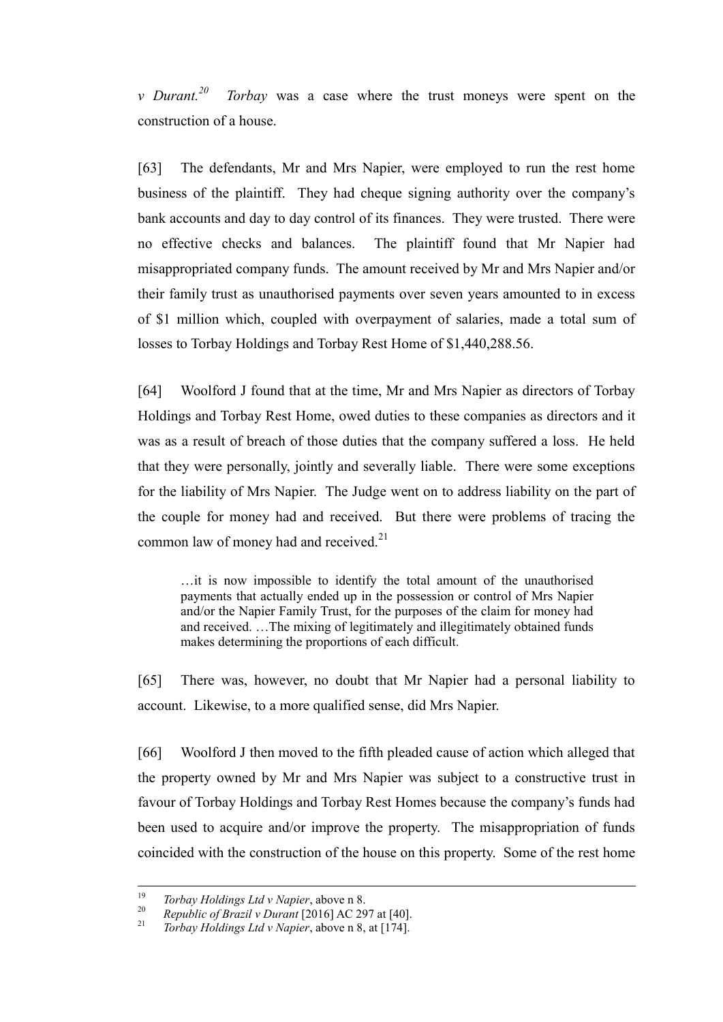*v Durant.<sup>20</sup> Torbay* was a case where the trust moneys were spent on the construction of a house.

[63] The defendants, Mr and Mrs Napier, were employed to run the rest home business of the plaintiff. They had cheque signing authority over the company's bank accounts and day to day control of its finances. They were trusted. There were no effective checks and balances. The plaintiff found that Mr Napier had misappropriated company funds. The amount received by Mr and Mrs Napier and/or their family trust as unauthorised payments over seven years amounted to in excess of \$1 million which, coupled with overpayment of salaries, made a total sum of losses to Torbay Holdings and Torbay Rest Home of \$1,440,288.56.

[64] Woolford J found that at the time, Mr and Mrs Napier as directors of Torbay Holdings and Torbay Rest Home, owed duties to these companies as directors and it was as a result of breach of those duties that the company suffered a loss. He held that they were personally, jointly and severally liable. There were some exceptions for the liability of Mrs Napier. The Judge went on to address liability on the part of the couple for money had and received. But there were problems of tracing the common law of money had and received. $21$ 

…it is now impossible to identify the total amount of the unauthorised payments that actually ended up in the possession or control of Mrs Napier and/or the Napier Family Trust, for the purposes of the claim for money had and received. …The mixing of legitimately and illegitimately obtained funds makes determining the proportions of each difficult.

[65] There was, however, no doubt that Mr Napier had a personal liability to account. Likewise, to a more qualified sense, did Mrs Napier.

[66] Woolford J then moved to the fifth pleaded cause of action which alleged that the property owned by Mr and Mrs Napier was subject to a constructive trust in favour of Torbay Holdings and Torbay Rest Homes because the company's funds had been used to acquire and/or improve the property. The misappropriation of funds coincided with the construction of the house on this property. Some of the rest home

<sup>19</sup> <sup>19</sup> *Torbay Holdings Ltd v Napier*, above n 8.

<sup>&</sup>lt;sup>20</sup> *Republic of Brazil v Durant* [2016] AC 297 at [40].<br><sup>21</sup> *Torbay Holdings Itd.y Napier, above p 8, at* [174]

<sup>21</sup> *Torbay Holdings Ltd v Napier*, above n 8, at [174].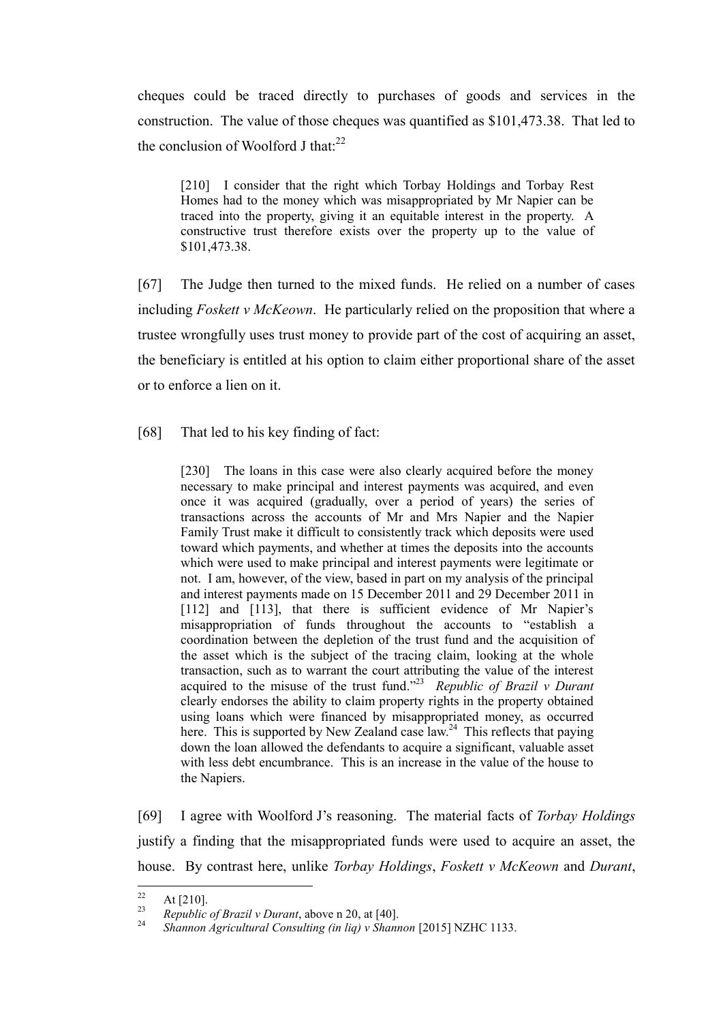cheques could be traced directly to purchases of goods and services in the construction. The value of those cheques was quantified as \$101,473.38. That led to the conclusion of Woolford J that: $^{22}$ 

[210] I consider that the right which Torbay Holdings and Torbay Rest Homes had to the money which was misappropriated by Mr Napier can be traced into the property, giving it an equitable interest in the property. A constructive trust therefore exists over the property up to the value of \$101,473.38.

[67] The Judge then turned to the mixed funds. He relied on a number of cases including *Foskett v McKeown*. He particularly relied on the proposition that where a trustee wrongfully uses trust money to provide part of the cost of acquiring an asset, the beneficiary is entitled at his option to claim either proportional share of the asset or to enforce a lien on it.

[68] That led to his key finding of fact:

[230] The loans in this case were also clearly acquired before the money necessary to make principal and interest payments was acquired, and even once it was acquired (gradually, over a period of years) the series of transactions across the accounts of Mr and Mrs Napier and the Napier Family Trust make it difficult to consistently track which deposits were used toward which payments, and whether at times the deposits into the accounts which were used to make principal and interest payments were legitimate or not. I am, however, of the view, based in part on my analysis of the principal and interest payments made on 15 December 2011 and 29 December 2011 in [112] and [113], that there is sufficient evidence of Mr Napier's misappropriation of funds throughout the accounts to "establish a coordination between the depletion of the trust fund and the acquisition of the asset which is the subject of the tracing claim, looking at the whole transaction, such as to warrant the court attributing the value of the interest acquired to the misuse of the trust fund."<sup>23</sup> *Republic of Brazil v Durant* clearly endorses the ability to claim property rights in the property obtained using loans which were financed by misappropriated money, as occurred here. This is supported by New Zealand case law.<sup>24</sup> This reflects that paying down the loan allowed the defendants to acquire a significant, valuable asset with less debt encumbrance. This is an increase in the value of the house to the Napiers.

[69] I agree with Woolford J's reasoning. The material facts of *Torbay Holdings* justify a finding that the misappropriated funds were used to acquire an asset, the house. By contrast here, unlike *Torbay Holdings*, *Foskett v McKeown* and *Durant*,

 $22\,$  $\frac{22}{23}$  At [210].

<sup>&</sup>lt;sup>23</sup> *Republic of Brazil v Durant*, above n 20, at [40].

<sup>24</sup> *Shannon Agricultural Consulting (in liq) v Shannon* [2015] NZHC 1133.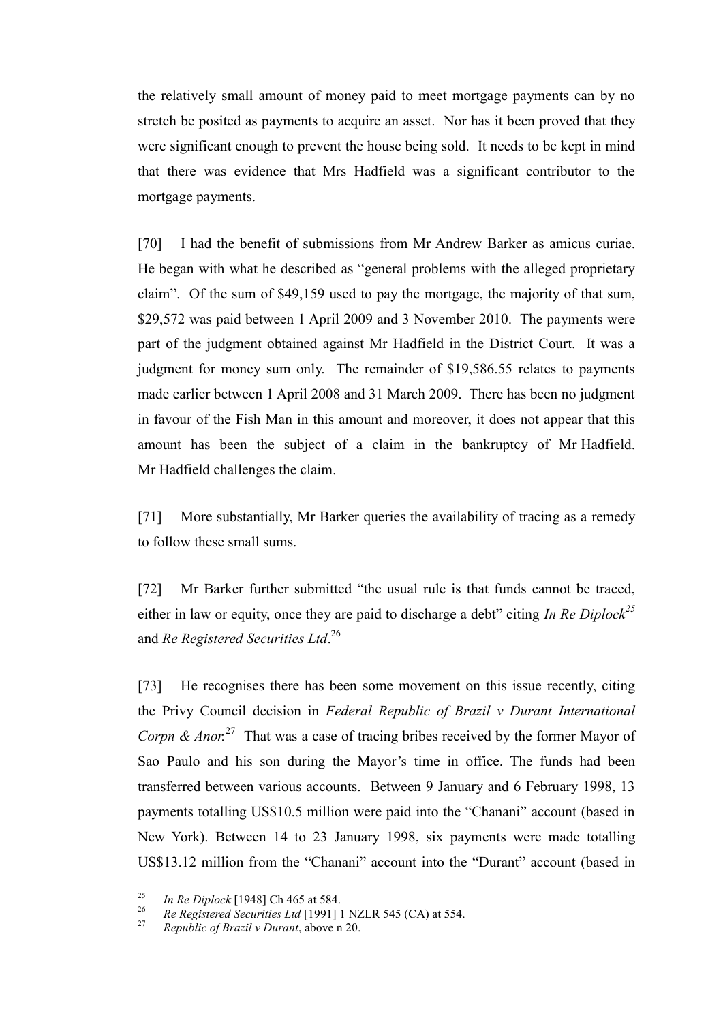the relatively small amount of money paid to meet mortgage payments can by no stretch be posited as payments to acquire an asset. Nor has it been proved that they were significant enough to prevent the house being sold. It needs to be kept in mind that there was evidence that Mrs Hadfield was a significant contributor to the mortgage payments.

[70] I had the benefit of submissions from Mr Andrew Barker as amicus curiae. He began with what he described as "general problems with the alleged proprietary claim". Of the sum of \$49,159 used to pay the mortgage, the majority of that sum, \$29,572 was paid between 1 April 2009 and 3 November 2010. The payments were part of the judgment obtained against Mr Hadfield in the District Court. It was a judgment for money sum only. The remainder of \$19,586.55 relates to payments made earlier between 1 April 2008 and 31 March 2009. There has been no judgment in favour of the Fish Man in this amount and moreover, it does not appear that this amount has been the subject of a claim in the bankruptcy of Mr Hadfield. Mr Hadfield challenges the claim.

[71] More substantially, Mr Barker queries the availability of tracing as a remedy to follow these small sums.

[72] Mr Barker further submitted "the usual rule is that funds cannot be traced, either in law or equity, once they are paid to discharge a debt" citing *In Re Diplock<sup>25</sup>* and *Re Registered Securities Ltd*. 26

[73] He recognises there has been some movement on this issue recently, citing the Privy Council decision in *Federal Republic of Brazil v Durant International Corpn & Anor.*<sup>27</sup> That was a case of tracing bribes received by the former Mayor of Sao Paulo and his son during the Mayor's time in office. The funds had been transferred between various accounts. Between 9 January and 6 February 1998, 13 payments totalling US\$10.5 million were paid into the "Chanani" account (based in New York). Between 14 to 23 January 1998, six payments were made totalling US\$13.12 million from the "Chanani" account into the "Durant" account (based in

<sup>25</sup> <sup>25</sup> *In Re Diplock* [1948] Ch 465 at 584.

<sup>&</sup>lt;sup>26</sup> *Re Registered Securities Ltd* [1991] 1 NZLR 545 (CA) at 554.

<sup>27</sup> *Republic of Brazil v Durant*, above n 20.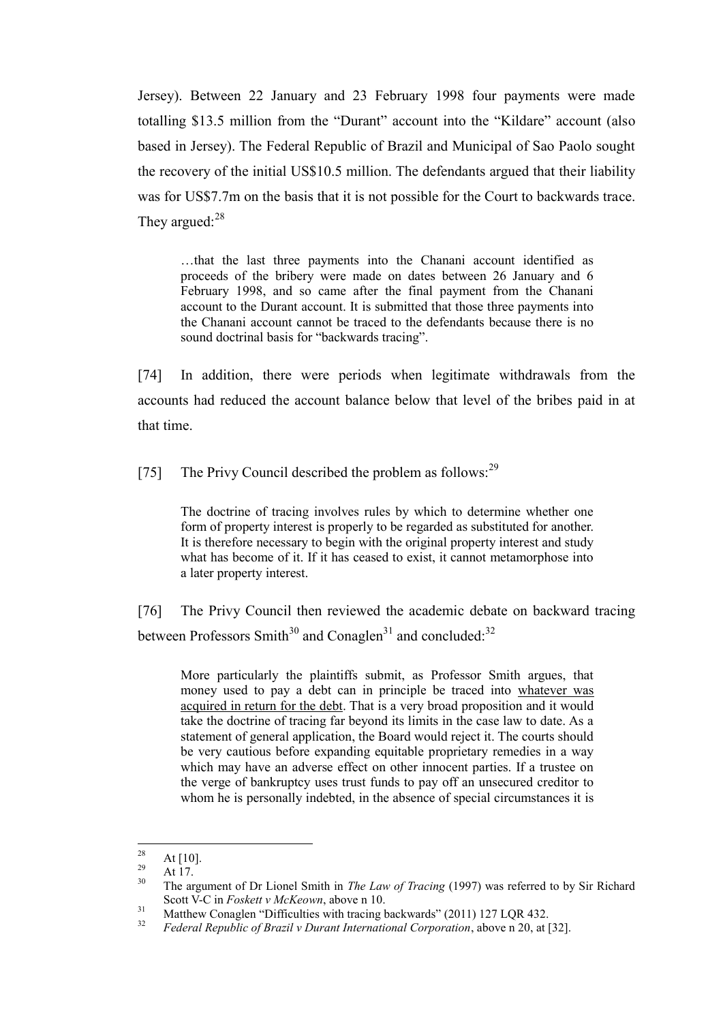Jersey). Between 22 January and 23 February 1998 four payments were made totalling \$13.5 million from the "Durant" account into the "Kildare" account (also based in Jersey). The Federal Republic of Brazil and Municipal of Sao Paolo sought the recovery of the initial US\$10.5 million. The defendants argued that their liability was for US\$7.7m on the basis that it is not possible for the Court to backwards trace. They argued: $^{28}$ 

…that the last three payments into the Chanani account identified as proceeds of the bribery were made on dates between 26 January and 6 February 1998, and so came after the final payment from the Chanani account to the Durant account. It is submitted that those three payments into the Chanani account cannot be traced to the defendants because there is no sound doctrinal basis for "backwards tracing".

[74] In addition, there were periods when legitimate withdrawals from the accounts had reduced the account balance below that level of the bribes paid in at that time.

[75] The Privy Council described the problem as follows:  $2^9$ 

The doctrine of tracing involves rules by which to determine whether one form of property interest is properly to be regarded as substituted for another. It is therefore necessary to begin with the original property interest and study what has become of it. If it has ceased to exist, it cannot metamorphose into a later property interest.

[76] The Privy Council then reviewed the academic debate on backward tracing between Professors Smith<sup>30</sup> and Conaglen<sup>31</sup> and concluded:<sup>32</sup>

More particularly the plaintiffs submit, as Professor Smith argues, that money used to pay a debt can in principle be traced into whatever was acquired in return for the debt. That is a very broad proposition and it would take the doctrine of tracing far beyond its limits in the case law to date. As a statement of general application, the Board would reject it. The courts should be very cautious before expanding equitable proprietary remedies in a way which may have an adverse effect on other innocent parties. If a trustee on the verge of bankruptcy uses trust funds to pay off an unsecured creditor to whom he is personally indebted, in the absence of special circumstances it is

<sup>28</sup>  $\frac{28}{29}$  At [10].

 $\frac{29}{30}$  At 17.

<sup>30</sup> The argument of Dr Lionel Smith in *The Law of Tracing* (1997) was referred to by Sir Richard Scott V-C in *Foskett v McKeown*, above n 10.

 $31$  Matthew Conaglen "Difficulties with tracing backwards" (2011) 127 LQR 432.

<sup>32</sup> *Federal Republic of Brazil v Durant International Corporation*, above n 20, at [32].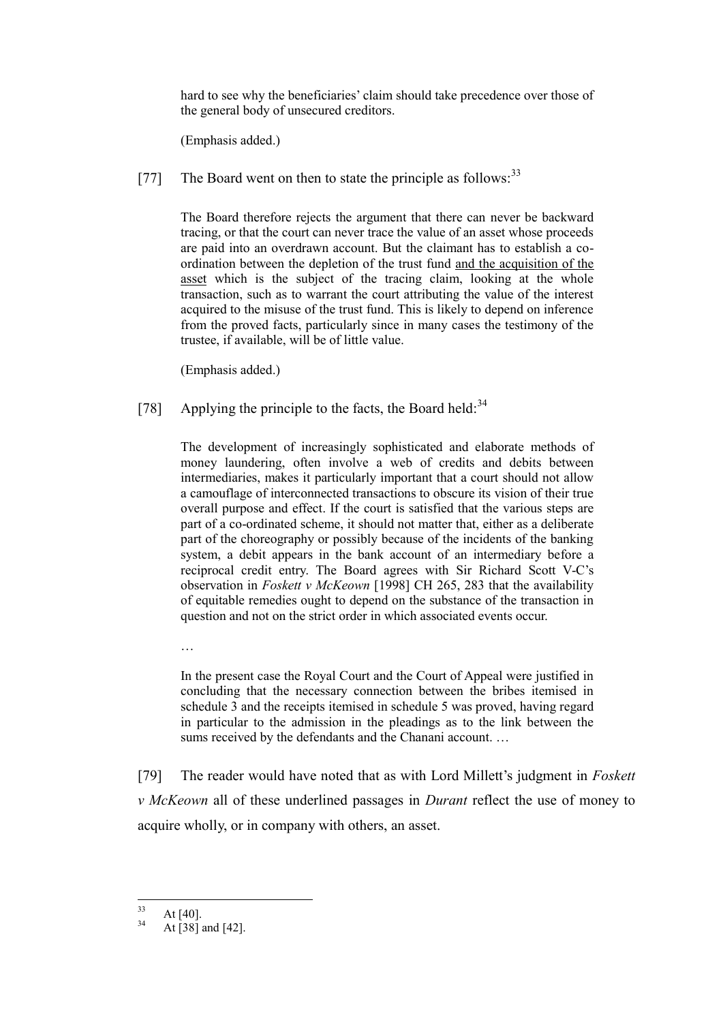hard to see why the beneficiaries' claim should take precedence over those of the general body of unsecured creditors.

(Emphasis added.)

[77] The Board went on then to state the principle as follows:  $33$ 

The Board therefore rejects the argument that there can never be backward tracing, or that the court can never trace the value of an asset whose proceeds are paid into an overdrawn account. But the claimant has to establish a coordination between the depletion of the trust fund and the acquisition of the asset which is the subject of the tracing claim, looking at the whole transaction, such as to warrant the court attributing the value of the interest acquired to the misuse of the trust fund. This is likely to depend on inference from the proved facts, particularly since in many cases the testimony of the trustee, if available, will be of little value.

(Emphasis added.)

[78] Applying the principle to the facts, the Board held:  $34$ 

The development of increasingly sophisticated and elaborate methods of money laundering, often involve a web of credits and debits between intermediaries, makes it particularly important that a court should not allow a camouflage of interconnected transactions to obscure its vision of their true overall purpose and effect. If the court is satisfied that the various steps are part of a co-ordinated scheme, it should not matter that, either as a deliberate part of the choreography or possibly because of the incidents of the banking system, a debit appears in the bank account of an intermediary before a reciprocal credit entry. The Board agrees with Sir Richard Scott V-C's observation in *Foskett v McKeown* [1998] CH 265, 283 that the availability of equitable remedies ought to depend on the substance of the transaction in question and not on the strict order in which associated events occur.

In the present case the Royal Court and the Court of Appeal were justified in concluding that the necessary connection between the bribes itemised in schedule 3 and the receipts itemised in schedule 5 was proved, having regard in particular to the admission in the pleadings as to the link between the sums received by the defendants and the Chanani account. …

[79] The reader would have noted that as with Lord Millett's judgment in *Foskett v McKeown* all of these underlined passages in *Durant* reflect the use of money to acquire wholly, or in company with others, an asset.

…

 $33$  $\frac{33}{34}$  At [40].

<sup>34</sup> At [38] and [42].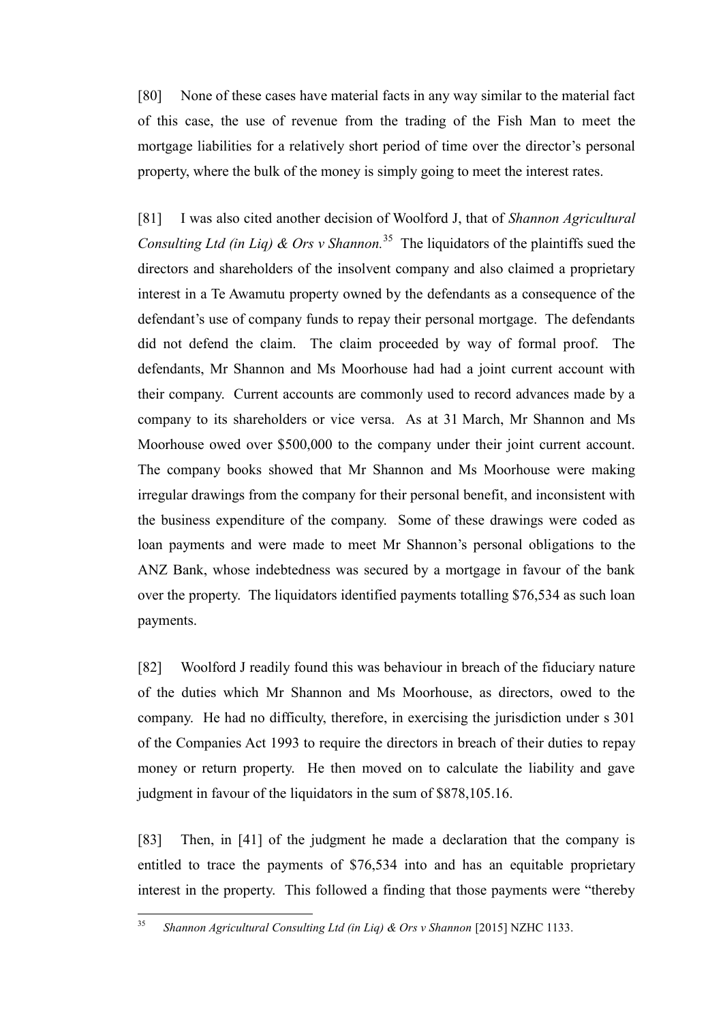[80] None of these cases have material facts in any way similar to the material fact of this case, the use of revenue from the trading of the Fish Man to meet the mortgage liabilities for a relatively short period of time over the director's personal property, where the bulk of the money is simply going to meet the interest rates.

[81] I was also cited another decision of Woolford J, that of *Shannon Agricultural Consulting Ltd (in Liq) & Ors v Shannon.*<sup>35</sup> The liquidators of the plaintiffs sued the directors and shareholders of the insolvent company and also claimed a proprietary interest in a Te Awamutu property owned by the defendants as a consequence of the defendant's use of company funds to repay their personal mortgage. The defendants did not defend the claim. The claim proceeded by way of formal proof. The defendants, Mr Shannon and Ms Moorhouse had had a joint current account with their company. Current accounts are commonly used to record advances made by a company to its shareholders or vice versa. As at 31 March, Mr Shannon and Ms Moorhouse owed over \$500,000 to the company under their joint current account. The company books showed that Mr Shannon and Ms Moorhouse were making irregular drawings from the company for their personal benefit, and inconsistent with the business expenditure of the company. Some of these drawings were coded as loan payments and were made to meet Mr Shannon's personal obligations to the ANZ Bank, whose indebtedness was secured by a mortgage in favour of the bank over the property. The liquidators identified payments totalling \$76,534 as such loan payments.

[82] Woolford J readily found this was behaviour in breach of the fiduciary nature of the duties which Mr Shannon and Ms Moorhouse, as directors, owed to the company. He had no difficulty, therefore, in exercising the jurisdiction under s 301 of the Companies Act 1993 to require the directors in breach of their duties to repay money or return property. He then moved on to calculate the liability and gave judgment in favour of the liquidators in the sum of \$878,105.16.

[83] Then, in [41] of the judgment he made a declaration that the company is entitled to trace the payments of \$76,534 into and has an equitable proprietary interest in the property. This followed a finding that those payments were "thereby

<sup>35</sup> <sup>35</sup> *Shannon Agricultural Consulting Ltd (in Liq) & Ors v Shannon* [2015] NZHC 1133.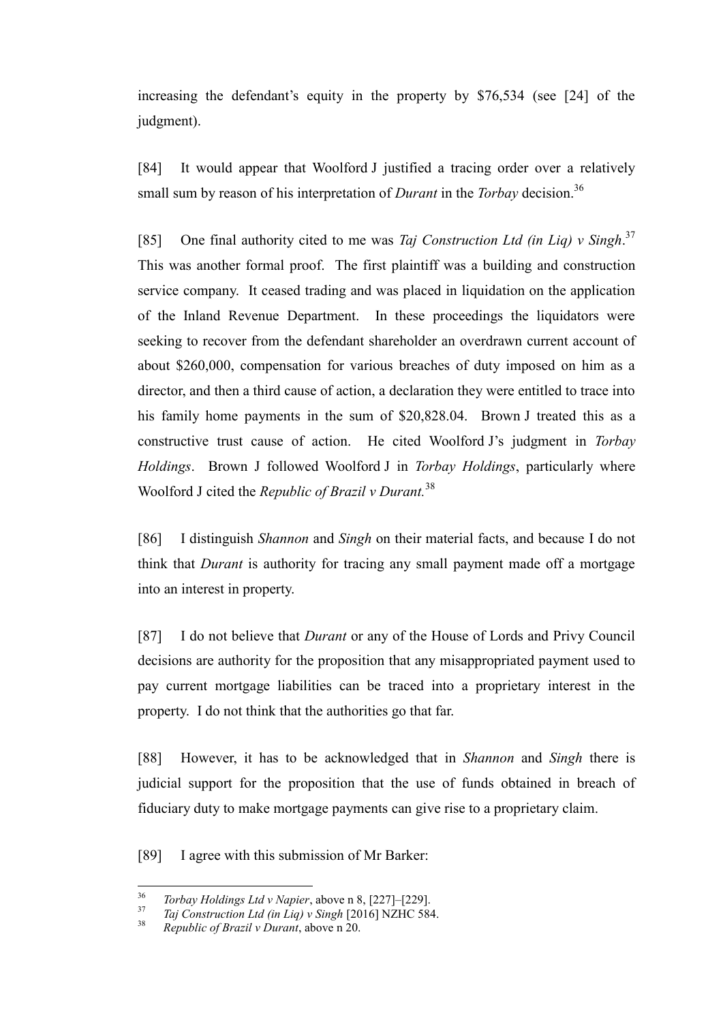increasing the defendant's equity in the property by \$76,534 (see [24] of the judgment).

[84] It would appear that Woolford J justified a tracing order over a relatively small sum by reason of his interpretation of *Durant* in the *Torbay* decision.<sup>36</sup>

[85] One final authority cited to me was *Taj Construction Ltd (in Liq) v Singh*. 37 This was another formal proof. The first plaintiff was a building and construction service company. It ceased trading and was placed in liquidation on the application of the Inland Revenue Department. In these proceedings the liquidators were seeking to recover from the defendant shareholder an overdrawn current account of about \$260,000, compensation for various breaches of duty imposed on him as a director, and then a third cause of action, a declaration they were entitled to trace into his family home payments in the sum of \$20,828.04. Brown J treated this as a constructive trust cause of action. He cited Woolford J's judgment in *Torbay Holdings*. Brown J followed Woolford J in *Torbay Holdings*, particularly where Woolford J cited the *Republic of Brazil v Durant.*<sup>38</sup>

[86] I distinguish *Shannon* and *Singh* on their material facts, and because I do not think that *Durant* is authority for tracing any small payment made off a mortgage into an interest in property.

[87] I do not believe that *Durant* or any of the House of Lords and Privy Council decisions are authority for the proposition that any misappropriated payment used to pay current mortgage liabilities can be traced into a proprietary interest in the property. I do not think that the authorities go that far.

[88] However, it has to be acknowledged that in *Shannon* and *Singh* there is judicial support for the proposition that the use of funds obtained in breach of fiduciary duty to make mortgage payments can give rise to a proprietary claim.

[89] I agree with this submission of Mr Barker:

<sup>36</sup> <sup>36</sup> *Torbay Holdings Ltd v Napier*, above n 8, [227]–[229].

<sup>&</sup>lt;sup>37</sup> *Taj Construction Ltd (in Liq) v Singh* [2016] NZHC 584.

<sup>38</sup> *Republic of Brazil v Durant*, above n 20.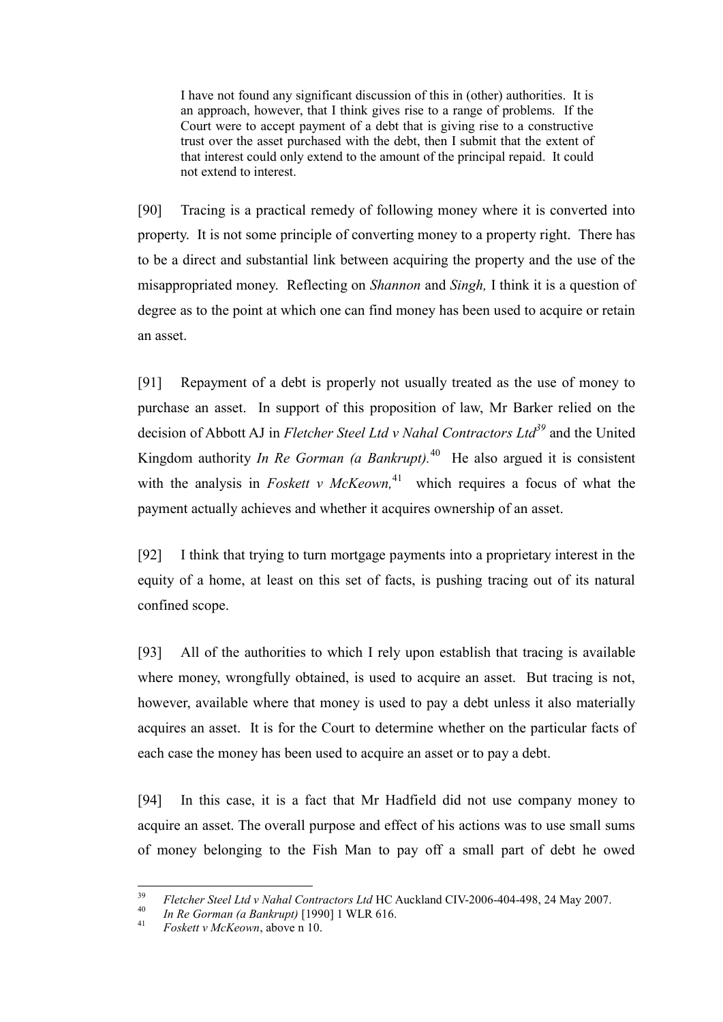I have not found any significant discussion of this in (other) authorities. It is an approach, however, that I think gives rise to a range of problems. If the Court were to accept payment of a debt that is giving rise to a constructive trust over the asset purchased with the debt, then I submit that the extent of that interest could only extend to the amount of the principal repaid. It could not extend to interest.

[90] Tracing is a practical remedy of following money where it is converted into property. It is not some principle of converting money to a property right. There has to be a direct and substantial link between acquiring the property and the use of the misappropriated money. Reflecting on *Shannon* and *Singh,* I think it is a question of degree as to the point at which one can find money has been used to acquire or retain an asset.

[91] Repayment of a debt is properly not usually treated as the use of money to purchase an asset. In support of this proposition of law, Mr Barker relied on the decision of Abbott AJ in *Fletcher Steel Ltd v Nahal Contractors Ltd<sup>39</sup>* and the United Kingdom authority *In Re Gorman (a Bankrupt).*<sup>40</sup> He also argued it is consistent with the analysis in *Foskett v McKeown*,<sup>41</sup> which requires a focus of what the payment actually achieves and whether it acquires ownership of an asset.

[92] I think that trying to turn mortgage payments into a proprietary interest in the equity of a home, at least on this set of facts, is pushing tracing out of its natural confined scope.

[93] All of the authorities to which I rely upon establish that tracing is available where money, wrongfully obtained, is used to acquire an asset. But tracing is not, however, available where that money is used to pay a debt unless it also materially acquires an asset. It is for the Court to determine whether on the particular facts of each case the money has been used to acquire an asset or to pay a debt.

[94] In this case, it is a fact that Mr Hadfield did not use company money to acquire an asset. The overall purpose and effect of his actions was to use small sums of money belonging to the Fish Man to pay off a small part of debt he owed

<sup>39</sup> <sup>39</sup> *Fletcher Steel Ltd v Nahal Contractors Ltd* HC Auckland CIV-2006-404-498, 24 May 2007.

<sup>40</sup> *In Re Gorman (a Bankrupt)* [1990] 1 WLR 616.

<sup>41</sup> *Foskett v McKeown*, above n 10.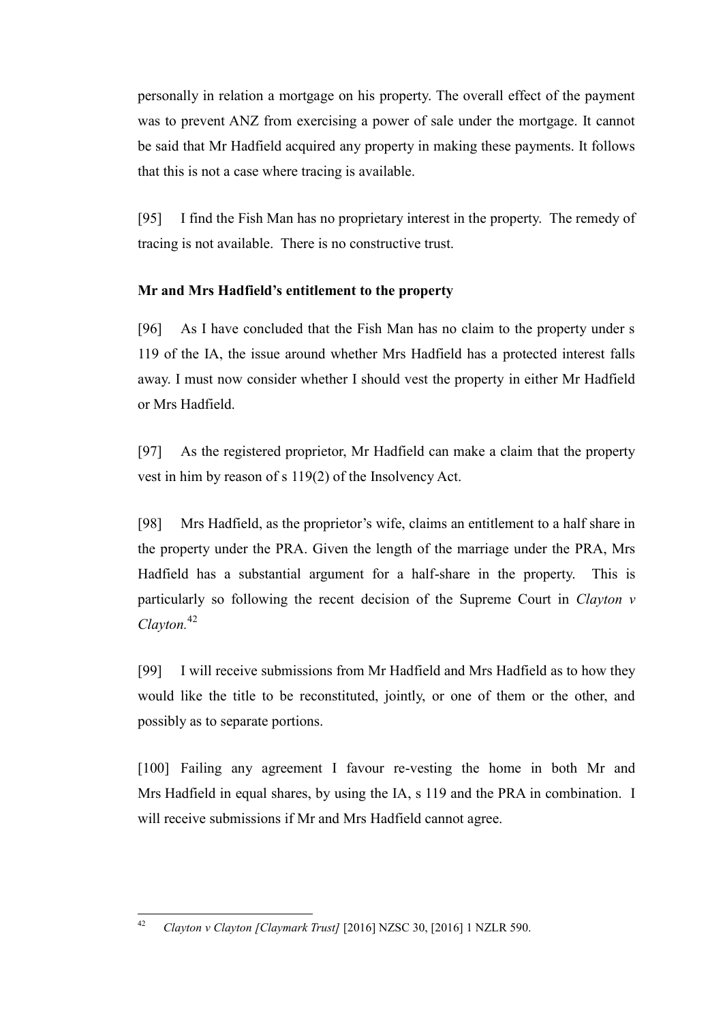personally in relation a mortgage on his property. The overall effect of the payment was to prevent ANZ from exercising a power of sale under the mortgage. It cannot be said that Mr Hadfield acquired any property in making these payments. It follows that this is not a case where tracing is available.

[95] I find the Fish Man has no proprietary interest in the property. The remedy of tracing is not available. There is no constructive trust.

# **Mr and Mrs Hadfield's entitlement to the property**

[96] As I have concluded that the Fish Man has no claim to the property under s 119 of the IA, the issue around whether Mrs Hadfield has a protected interest falls away. I must now consider whether I should vest the property in either Mr Hadfield or Mrs Hadfield.

[97] As the registered proprietor, Mr Hadfield can make a claim that the property vest in him by reason of s 119(2) of the Insolvency Act.

[98] Mrs Hadfield, as the proprietor's wife, claims an entitlement to a half share in the property under the PRA. Given the length of the marriage under the PRA, Mrs Hadfield has a substantial argument for a half-share in the property. This is particularly so following the recent decision of the Supreme Court in *Clayton v Clayton.*<sup>42</sup>

[99] I will receive submissions from Mr Hadfield and Mrs Hadfield as to how they would like the title to be reconstituted, jointly, or one of them or the other, and possibly as to separate portions.

[100] Failing any agreement I favour re-vesting the home in both Mr and Mrs Hadfield in equal shares, by using the IA, s 119 and the PRA in combination. I will receive submissions if Mr and Mrs Hadfield cannot agree.

 $42$ <sup>42</sup> *Clayton v Clayton [Claymark Trust]* [2016] NZSC 30, [2016] 1 NZLR 590.